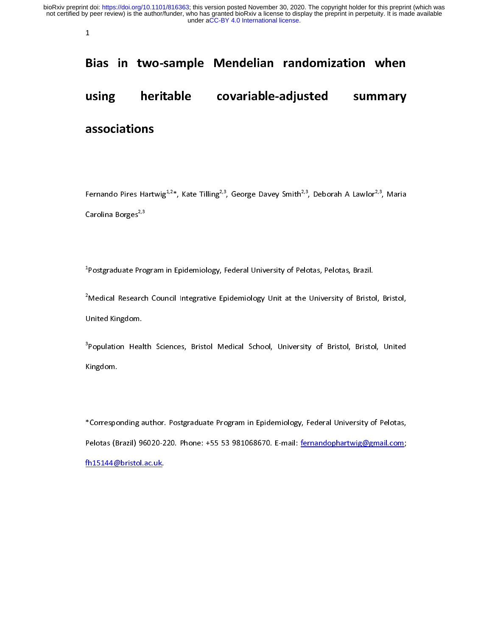$\mathbf{1}$ 

## Bias in two-sample Mendelian randomization when

# B<br>u using heritable covariable-adjusted summary associations

Fernando Pires Hartwig<sup>2,2\*</sup>, Kate Tilling<sup>2,3</sup>, George Davey Smith<sup>2,3</sup>, Deborah A Lawlor<sup>2,3</sup>, Maria<br>Carolina Borges<sup>2,3</sup><br><sup>1</sup>Postgraduate Program in Epidemiology, Federal University of Pelotas, Pelotas, Brazil.

Carolina Borges<sup>2,3</sup><br><sup>1</sup>Postgraduate Pro<br><sup>2</sup>Medical Research t,

Medical Research Council Integrative Epidemiology Unit at the University of Bristo<br>Population Health Sciences, Bristol Medical School, University of Bristol, Bristo <sup>2</sup>Medical Research Council Integrative Epidemiology Unit at the University of Bristol, Bristol,

Medical Research Council Integrative Epidemiology University University, D. 2004, United<br>Population Health Sciences, Bristol Medical School, University of Bristol, Bristol, United<br>Kingdom. <sup>3</sup><br>Population Heal<br>Kingdom. Ĭ Population Health Sciences, British Medical School, University of School, University of Pelotas,<br>-<br>Corresponding author. Postgraduate Program in Epidemiology, Federal University of Pelotas,

Kingdom.<br>\*Correspo<br>Pelotas (B Pelotas (Brazil) 96020-220. Phone: +55 53 981068670. E-mail: <u>fernandophartwig@gmail.com;</u><br>fh15144@bristol.ac.uk.<br>fh15144@bristol.ac.uk. Philip 1400-220. Phone: +55 53 981068670. Phone: +55 53 981068670. E-mail: fernandopharte.com; +55 53 98106870. E-mail: fernandophartwig.com; +55 63 98106870. E-mail: fernandophartwig.com; +55 63 98106870. E-mail.com; +55 fh15144@bristol.ac.uk.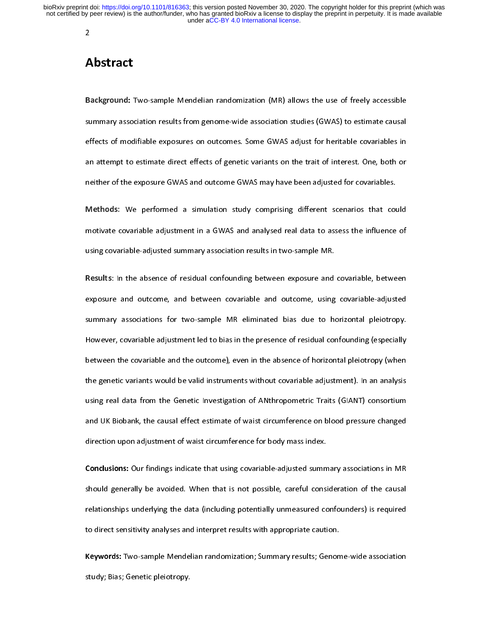### Abstract

 $\begin{array}{c} \mathbf{A} \\ \mathbf{B} \\ \mathbf{B} \end{array}$  $\frac{1}{2}$ Background: Two-sample Mendelian randomization (MR) allows the use of freely accessible<br>summary association results from genome-wide association studies (GWAS) to estimate causal<br>effects of modifiable exposures on outcomes summary effects of modifiable exposures on outcomes. Some GWAS adjust for heritable covariables in<br>an attempt to estimate direct effects of genetic variants on the trait of interest. One, both or<br>neither of the exposure GW effects of genetic variants on the trait of interest. One, both or<br>neither of the exposure GWAS and outcome GWAS may have been adjusted for covariables.<br>Methods: We performed a simulation study comprising different scenari

neither of the exposure GWAS and outcome GWAS may have been adjusted for covariables.<br> **Methods:** We performed a simulation study comprising different scenarios that could<br>
motivate covariable adjustment in a GWAS and anal nethods: We performed a simulation study comprising different scenarios that countivate covariable adjustment in a GWAS and analysed real data to assess the influence using covariable-adjusted summary association results i motivate covariable adjustment in a GWAS and analysed real data to assess the influence of<br>using covariable-adjusted summary association results in two-sample MR.<br>Results: In the absence of residual confounding between exp

using covariable-adjusted summary association results in two-sample MR.<br>
Results: In the absence of residual confounding between exposure and covariable, between<br>
exposure and outcome, and between covariable and outcome, u Results: In the absence of residual confounding between exposure and<br>exposure and outcome, and between covariable and outcome, using<br>summary associations for two-sample MR eliminated bias due to ho Results: In the absence of residual combunding between exposure and covariable-adjusted<br>exposure and outcome, and between covariable and outcome, using covariable-adjusted<br>summary associations for two-sample MR eliminated expression and outcome, and settimate and outcome, also contrained any area summary associations for two-sample MR eliminated bias due to horizontal pleiotropy.<br>However, covariable adjustment led to bias in the presence of summary of the presence of residual confounding (especially<br>between the covariable and the outcome), even in the absence of horizontal pleiotropy (when<br>the genetic variants would be valid instruments without covariable adj However, covariable and the outcome), even in the absence of horizontal pleiotropy (when<br>the genetic variants would be valid instruments without covariable adjustment). In an analysis<br>using real data from the Genetic Inves between the corrunal textual the coveral pleisarily of the measure of horizontal pleisting. Then the genetic variants would be valid instruments without covariable adjustment). In an analysis<br>using real data from the Genet the general data from the Genetic Investigation of ANthropometric Traits (GIANT) consortium<br>and UK Biobank, the causal effect estimate of waist circumference on blood pressure changed<br>direction upon adjustment of waist cir and UK Biobank, the causal effect estimate of waist circumference on blood pressure changed<br>direction upon adjustment of waist circumference for body mass index.<br>Conclusions: Our findings indicate that using covariable-adj

direction upon adjustment of waist circumference for body mass index.<br> **Conclusions:** Our findings indicate that using covariable-adjusted summary associations in MR<br>
should generally be avoided. When that is not possible, Conclusions: Our findings indicate that using covariable-adjusted summ<br>should generally be avoided. When that is not possible, careful consi<br>relationships underlying the data (including potentially unmeasured co<br>to direct Should generally be avoided. When that is not possible, careful consideration of the causal<br>relationships underlying the data (including potentially unmeasured confounders) is required<br>to direct sensitivity analyses and in shown generally be are mean that in the term persistly can be caused and the causal<br>relationships underlying the data (including potentially unmeasured confounders) is required<br>to direct sensitivity analyses and interpret

relationships underlying the data (including potentially unmeasured confounders) is required<br>to direct sensitivity analyses and interpret results with appropriate caution.<br>Keywords: Two-sample Mendelian randomization; Summ Keywords: Two-sample Mendelian randomization; Summary results; Genom<br>study; Bias; Genetic pleiotropy. Keywords: Two-sample Mendelian randomization; Summary results; Genome-wide association<br>study; Bias; Genetic pleiotropy. study; Bias; Genetic pleiotropy.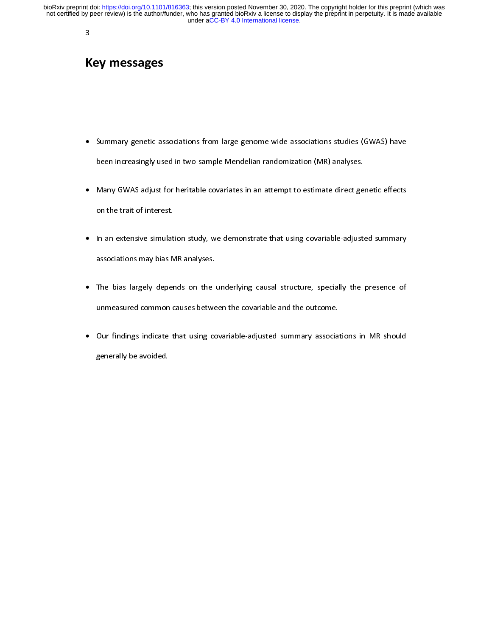# K<br>K  $\overline{a}$ Key messages

- Summary genetic associations from large genome-wide associations studies (GWAS) have
- Summary general associations from large general time association (MR) analyses.<br>
Many GWAS adjust for heritable covariates in an attempt to estimate direct genetic effects<br>
on the trait of interest. been increasing in the increasing many GWAS adjust for heritable covariates in an attempt to estimate direct ge<br>on the trait of interest.<br>In an extensive simulation study, we demonstrate that using covariable-adjust • Many GWAS adjust for heritable covariates in an attempt to estimate direct genetic effects
- on the trait of interest.<br>In an extensive simulation study, we demonstrate that using covariable-adjusted summary<br>associations may bias MR analyses. on the trait of interest.<br>In an extensive simulat<br>associations may bias M<br>The bias largely deper •
- In an extensive simulation study, we demonstrate that using covariant using the summary<br>associations may bias MR analyses.<br>The bias largely depends on the underlying causal structure, specially the presence of<br>unmeasured c associations may bias may bias may be<br>The bias largely depends on the<br>unmeasured common causes betwe<br>Our findings indicate that using co • The bias largely depends on the underlying causal structure, specially the presence of
- The binarying contractivity of persons, the presence of the university of persons in presence of unmeasured common causes between the covariable and the outcome.<br>Our findings indicate that using covariable-adjusted summary Our findings indicate that using covariable-adjusted summary associa<br>generally be avoided.<br>. • Examples in the avoided.<br>Summary be-avoided.  $g^{(n+1)}$  be avoided.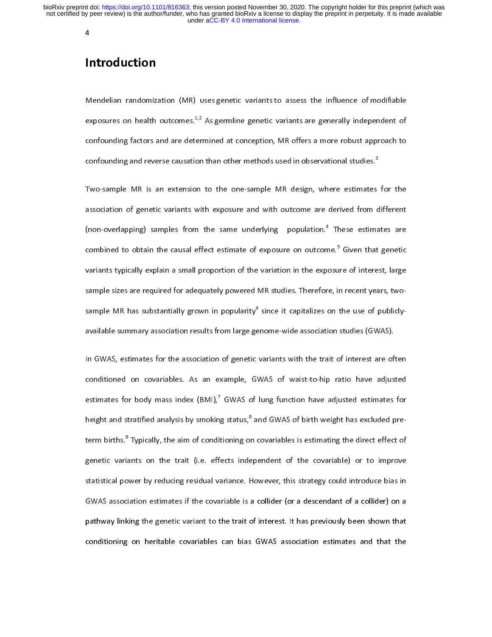## Introduction

 $\begin{array}{c} \n\blacksquare \quad \blacksquare \quad \blacksquare \quad \blacksquare \quad \blacksquare \quad \blacksquare \quad \blacksquare \quad \blacksquare \quad \blacksquare \quad \blacksquare \quad \blacksquare \quad \blacksquare \quad \blacksquare \quad \blacksquare \quad \blacksquare \quad \blacksquare \quad \blacksquare \quad \blacksquare \quad \blacksquare \quad \blacksquare \quad \blacksquare \quad \blacksquare \quad \blacksquare \quad \blacksquare \quad \blacksquare \quad \blacksquare \quad \blacksquare \quad \blacksquare \quad \blacksquare \quad \blacksquare \quad \blacksquare \quad \blacksquare \quad \blacksquare \quad \blacksquare \quad \blacksquare \quad \$  $\frac{1}{\epsilon}$ Mendelian randomization (MR) uses genetic variants to assess the influence of modifiable exposures on health outcomes.<sup>1,2</sup> As germline genetic variants are generally independent of confounding factors and are determined exposures on health outcomes.<sup>4,2</sup> As germline genetic variants are generally independent of<br>confounding factors and are determined at conception, MR offers a more robust approach to<br>confounding and reverse causation than

confounding and reverse causation than other methods used in observational studies.<sup>3</sup><br>Two-sample MR is an extension to the one-sample MR design, where estimates for the<br>association of genetic variants with exposure and wi confounding and reverse causation than other methods used in observational studies.<sup>3</sup><br>Two-sample MR is an extension to the one-sample MR design, where estimates<br>association of genetic variants with exposure and with outco  $\frac{1}{2}$ Two-samples may be an entertaint of the sample manifology, must be cannoted to the<br>association of genetic variants with exposure and with outcome are derived from different<br>(non-overlapping) samples from the same underlyin (non-overlapping) samples from the same underlying population.<sup>4</sup> These estimates are combined to obtain the causal effect estimate of exposure on outcome.<sup>5</sup> Given that genetic variants typically explain a small proportio (non-overlapping) samples from the same underlying population.<sup>3</sup> These estimates are<br>combined to obtain the causal effect estimate of exposure on outcome.<sup>5</sup> Given that genetic<br>variants typically explain a small proportio combined to obtain the causal effect estimate of exposure on outcome." Given that genetic<br>variants typically explain a small proportion of the variation in the exposure of interest, large<br>sample sizes are required for adeq sample sizes are required for adequately powered MR studies. Therefore, in recent years, two-<br>sample MR has substantially grown in popularity<sup>6</sup> since it capitalizes on the use of publicly-<br>available summary association re

conditioned on covariables. As an example, GWAS of waist-to-hip ratio have adjusted sample MR has substantially grown in popularity<sup>o</sup><br>available summary association results from large ge<br>In GWAS, estimates for the association of genetic<br>conditioned on covariables. As an example, GN since it capitalizes on the use of publication of public capitalizes of public contracts on the use of public In GWAS, estimates for the association of genetic variants with the trait of interest are of<br>conditioned on covariables. As an example, GWAS of waist-to-hip ratio have adjust<br>estimates for body mass index (BMI),<sup>7</sup> GWAS of Conditioned on covariables. As an example, GWAS of waist-to-hip ratio have adjusted<br>estimates for body mass index (BMI),<sup>7</sup> GWAS of lung function have adjusted estimates for<br>height and stratified analysis by smoking statu estimates for body mass index  $(BMI)$ ,<sup>7</sup> GWAS of lung function have adjusted estimates for<br>height and stratified analysis by smoking status,<sup>8</sup> and GWAS of birth weight has excluded pre-<br>term births.<sup>9</sup> Typically, the aim estimates for body mass index (BMI),' GWAS of lung function have adjusted estimates for<br>height and stratified analysis by smoking status,<sup>8</sup> and GWAS of birth weight has excluded pre-<br>term births.<sup>9</sup> Typically, the aim of height and stratified analysis by smoking status,"<br>term births.<sup>9</sup> Typically, the aim of conditioning or<br>genetic variants on the trait (i.e. effects inde<br>statistical power by reducing residual variance. F<br>GWAS association GWAS association estimates if the covariable is a collider (or a descendant of a collider) on a term births."<br>genetic varia<br>statistical po<br>GWAS associ<br>pathway link The aim of the solution of the covariable) or to improve<br>wer by reducing residual variance. However, this strategy could introduce bias in<br>ation estimates if the covariable is a collider (or a descendant of a collider) on general standard on the trait (i.e. effects independent of the covariancy) or to improve<br>statistical power by reducing residual variance. However, this strategy could introduce bias in<br>GWAS association estimates if the cov SWAS association estimates if the covariable is a collider (or a descendant of a collider) on a<br>pathway linking the genetic variant to the trait of interest. It has previously been shown that<br>conditioning on heritable cova pathway linking the genetic variant to the trait of interest. It has previously been shown that<br>conditioning on heritable covariables can bias GWAS association estimates and that the<br>conditioning on heritable covariables c conditioning on heritable covariables can bias GWAS association estimates and that the conditioning on heritable covariables can bias GWAS association estimates and that the conditioning on heritable covariables can bias GWAS association estimates and that the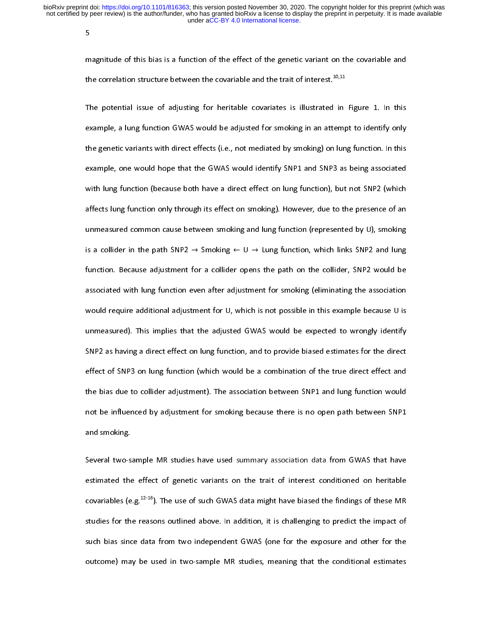5

m<br>th<br>Tl

r<br>t<br>f the correlation structure between the covariable and the trait of interest.<sup>10,11</sup><br>The potential issue of adjusting for heritable covariates is illustrated in Figure 1. In this<br>example, a lung function GWAS would be adjust the correlation structure between the covariable and the trait of interest.<sup>10,11</sup><br>The potential issue of adjusting for heritable covariates is illustrated in<br>example, a lung function GWAS would be adjusted for smoking in The potential issue of adjusting for additional terminate in an attempt to identify only<br>example, a lung function GWAS would be adjusted for smoking in an attempt to identify only<br>the genetic variants with direct effects ( example, a lung function GMAS (i.e., not mediated by smoking) on lung function. In this example, one would hope that the GWAS would identify SNP1 and SNP3 as being associated with lung function (because both have a direct example, one would hope that the GWAS would identify SNP1 and SNP3 as being associated<br>with lung function (because both have a direct effect on lung function), but not SNP2 (which<br>affects lung function only through its eff with lung function (because both have a direct effect on lung function), but not SNP2 (which<br>affects lung function only through its effect on smoking). However, due to the presence of an<br>unmeasured common cause between sm affects lung function only through its effect on smoking). However, due to the presence of an<br>unmeasured common cause between smoking and lung function (represented by U), smoking<br>is a collider in the path SNP2  $\rightarrow$  Smoki unmeasured common cause between smoking and lung function (represented by U), smoking<br>is a collider in the path SNP2  $\rightarrow$  Smoking  $\leftarrow$  U  $\rightarrow$  Lung function, which links SNP2 and lung<br>function. Because adjustment for a co under in the path SNP2  $\rightarrow$  Smoking  $\leftarrow$  U  $\rightarrow$  Lung function, which links SNP2 and lung<br>function. Because adjustment for a collider opens the path on the collider, SNP2 would be<br>associated with lung function even after function. Because adjustment for a collider opens the path on the collider, SNP2 would be<br>associated with lung function even after adjustment for smoking (eliminating the association<br>would require additional adjustment for function. Because any sentent for a contract open the path on the collider opens the association<br>associated with lung function even after adjustment for smoking (eliminating the association<br>would require additional adjustm associate would require additional adjustment for U, which is not possible in this example because U is<br>unmeasured). This implies that the adjusted GWAS would be expected to wrongly identify<br>SNP2 as having a direct effect would be expected to wrongly identify<br>unmeasured). This implies that the adjusted GWAS would be expected to wrongly identify<br>SNP2 as having a direct effect on lung function, and to provide biased estimates for the direct<br>e SNP2 as having a direct effect on lung function, and to provide biased estimates for the direct<br>effect of SNP3 on lung function (which would be a combination of the true direct effect and<br>the bias due to collider adjustmen effect of SNP3 on lung function (which would be a combination of the true direct effect and<br>the bias due to collider adjustment). The association between SNP1 and lung function would<br>not be influenced by adjustment for smo the bias due to collider adjustment). The association between SNP1 and lung function would<br>not be influenced by adjustment for smoking because there is no open path between SNP1<br>and smoking. the bias due to collider any statement for smoking because there is no open path between SNP1<br>and smoking.<br>Several two-sample MR studies have used summary association data from GWAS that have

and smoking.<br>Several two-sample MR studies have used summary association data from GWAS that have<br>estimated the effect of genetic variants on the trait of interest conditioned on heritable<br>consisting  $(x, a^{12.16})$ . The use and smoking.<br>Several two-s<br>estimated the<br>covariables (e External the sample and statute have used summary association and studies on heritable<br>covariables (e.g.<sup>12-16</sup>). The use of such GWAS data might have biased the findings of these MR<br>studies for the reasons outlined above. covariables (e.g.<sup>12-16</sup>). The use of such GWAS data might have biased the findings of these MR<br>studies for the reasons outlined above. In addition, it is challenging to predict the impact of<br>such bias since data from two covariables (e.g.<sup>22-26</sup>). The use of such GWAS data might have biased the findings of these MR<br>studies for the reasons outlined above. In addition, it is challenging to predict the impact of<br>such bias since data from two such bias since data from two independent GWAS (one for the exposure and other for the outcome) may be used in two-sample MR studies, meaning that the conditional estimates such that since data from the intepertuality of the for the exposure and other for the exposure and other for<br>outcome) may be used in two-sample MR studies, meaning that the conditional estimates outcome) may be used in two-sample MR studies, meaning that the conditional estimates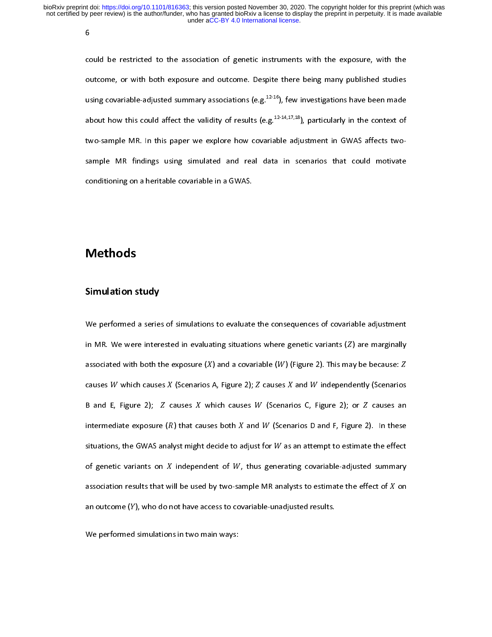6

cc<br>|<br>|<br>|-(<br>เ<br>เ outcome, or with both exposure and outcome. Despite there being many published studies<br>using covariable-adjusted summary associations (e.g.<sup>12-16</sup>), few investigations have been made<br>about how this could affect the validi using covariable-adjusted summary associations (e.g.<sup>12-16</sup>), few investigations have been made<br>about how this could affect the validity of results (e.g.<sup>12-14,17,18</sup>), particularly in the context of<br>two-sample MR. In thi using covariable-adjusted summary associations (e.g.<sup>12-10</sup>), few investigations have been made<br>about how this could affect the validity of results (e.g.<sup>12-14,17,18</sup>), particularly in the context of<br>two-sample MR. In this about how this could affect the validity of results (e.g.<sup>22-14,17,12</sup>), particularly in the context of<br>two-sample MR. In this paper we explore how covariable adjustment in GWAS affects two-<br>sample MR findings using simula conditioning on a heritable covariable in a GWAS.

# conditioning on a heritable covariable covariable in a heritable covariable in a  $\mathcal{C}(\mathcal{C})$ Methods

#### Simulation study

In MR. We were interested in evaluating situations where genetic variants  $(Z)$  are marginally<br>associated with both the exposure  $(X)$  and a covariable  $(W)$  (Figure 2). This may be because:  $Z$ <br>causes  $W$  which causes  $X$  ( in MR. We were interested in entricating situations where general channel (e.) are marginally<br>associated with both the exposure  $(X)$  and a covariable  $(W)$  (Figure 2). This may be because:  $Z$ <br>causes  $W$  which causes  $X$  ( causes  $W$  which causes  $X$  (Scenarios .<br>B and E, Figure 2);  $Z$  causes  $X$  which referred at exposure  $(R)$  that cause<br>situations, the GWAS analyst might de A, Figure 2);  $Z$  causes  $X$  and  $W$  independently (Scenarios<br>nich causes  $W$  (Scenarios C, Figure 2); or  $Z$  causes an<br>es both  $X$  and  $W$  (Scenarios D and F, Figure 2). In these<br>ecide to adjust for  $W$  as an attempt to B and E, Figure 2); Z c<br>intermediate exposure (R<br>situations, the GWAS anal<br>of genetic variants on X auses X which causes W (Scenariously A, Figure 2);  $\frac{1}{2}$  and W (Scenariously and W (Scenariously and W independent of W, thus generation and *is margementiff*, (scenarios<br>os C, Figure 2); or *Z* causes an<br>arios D and F, Figure 2). In these<br>an attempt to estimate the effect<br>ng covariable-adjusted summary intermediate exposure  $(R)$  that candidate exposure  $(R)$  that candidations, the GWAS analyst might of genetic variants on  $X$  indeper association results that will be use where suses both  $X$  and  $W$  (Scenarios D and F, Figure 2). In these t decide to adjust for  $W$  as an attempt to estimate the effect of  $W$ , thus generating covariable-adjusted summary of by two-sample MR analysts to esti situations, the GWAS analyst might decide to a<br>of genetic variants on  $X$  independent of  $W$ ,<br>association results that will be used by two-sar<br>an outcome  $(Y)$ , who do not have access to cov djust for  $W$  as an attempt to estimate the effect<br>thus generating covariable-adjusted summary<br>mple MR analysts to estimate the effect of  $X$  on<br>ariable-unadjusted results. of genetic variants on  $X$  independent of  $W$ , thus generating covariable-adjusted summary<br>association results that will be used by two-sample MR analysts to estimate the effect of  $X$  on<br>an outcome  $(Y)$ , who do not have association results that w<br>association results that w<br>an outcome (Y), who do r<br>We performed simulation ill be used by two-sample MR analysts to estimate the effect of  $X$  on<br>not have access to covariable-unadjusted results.<br>s in two main ways: an outcome (Y), who do not have access to covariable-unadjusted results.<br>an outcome (Y), who do not have access to covariable-unadjusted results.<br>We performed simulations in two main ways:

an outcome (), who do not have access to community, see a contract to contract the set of the set of the performed simulations in two main ways: We performed simulations in two main ways: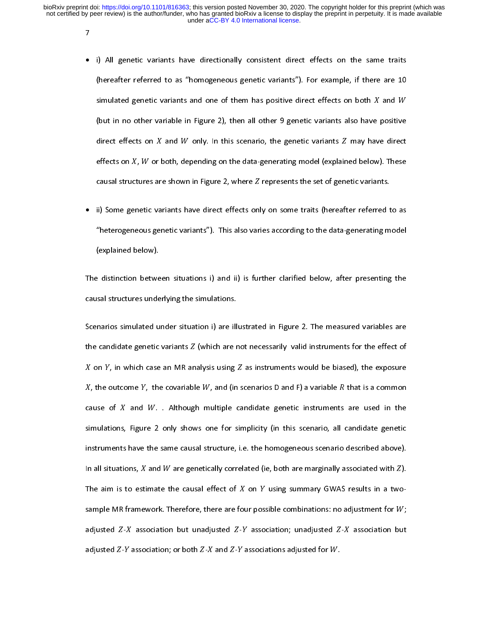$\overline{7}$ 

- $\ddot{\phantom{a}}$  • i) All genetic variants have directionally consistent direct effects on the same traits (hereafter referred to as "homogeneous genetic variants"). For example, if there are 10<br>simulated genetic variants and one of them has positive direct effects on both  $X$  and  $W$ <br>(but in no other variable in Figure 2), th (hereafter referred to as "homogeneous general tanding"), we can<br>implated genetic variants and one of them has positive direct effects on both  $X$  and  $W$ <br>(but in no other variable in Figure 2), then all other 9 genetic v simulated general candidation and the set them has positive direct effects on  $X$  and  $W$  only. In this scenario, the genetic variants  $Z$  may have direct effects on  $X$ ,  $W$  or both, depending on the data-generating model positive<br>e direct<br>). These<br>nts. direct effects on *X* and *W* only. In this scenario, the genetic variants *Z* may have direct effects on *X*, *W* or both, depending on the data-generating model (explained below). These causal structures are shown in Fi effects on *X*, *W* or l<br>causal structures an<br>ii) Some genetic va both, depending on the data-generating model (explained below). These<br>e shown in Figure 2, where Z represents the set of genetic variants.<br>riants have direct effects only on some traits (hereafter referred to as
- en en en<br>causal struct<br>ii) Some ger<br>"heterogene The same shown in Figure 2, where Z represents the set of genetic variants.<br>
Lures are shown in Figure 2, where Z represents the set of genetic variants.<br>
Letic variants have direct effects only on some traits (hereafter r ii) Some genetic variants have direct effects only on some traits (hereafter referred the deterogeneous genetic variants"). This also varies according to the data-generating m (explained below). • ii) Some genetic variants have direct effects only on some traits (hereafter referred to as in) Some general random and a medicine concern some trains (hereafter referred to as<br>
"heterogeneous genetic variants"). This also varies according to the data-generating model<br>
(explained below).<br>
a distinction between si

(explained below).<br>
Let distinction between situations i) and ii) is further clarified below, after presenting the sins also structures underlying the simulations. (explained below).<br>
Explained between the structures under<br>
explained below).

The distinction between situations, the distinction between situations increases and structures underlying the simulations.<br>Scenarios simulated under situation i) are illustrated in Figure 2. The measured variables are<br>the Scenarios simulated under situation i) are ill<br>the candidate genetic variants  $Z$  (which are r<br> $X$  on  $Y$ , in which case an MR analysis using Scenarios simulated units in the measure of  $X$  on  $Y$ , in which case an MR analysis using  $Z$  as instruments would be biased), the exposure  $X$ , the outcome  $Y$ , the covariable  $W$ , and (in scenarios  $D$  and  $F$ ) a varia X on Y, in which case an MR analysis using Z as instruments would be biased), the exposure X, the outcome Y, the covariable  $W$ , and (in scenarios D and F) a variable  $R$  that is a common cause of  $X$  and  $W$ . Although mu on , the outcome *Y*, the covariable *W*, and (in scenarios D and F) a variable *R* that is a common suse of *X* and *W*. . Although multiple candidate genetic instruments are used in the mulations, Figure 2 only shows on shows one for simplicity (in this scenario, all candidate genetic instruments are used in the mulations, Figure 2 only shows one for simplicity (in this scenario, all candidate genetic struments have the same causal struc simulations,<br>simulations,<br>instruments<br>In all situation Figure 2 only shows one for simplicity (in this scenario, all candidate genetic have the same causal structure, i.e. the homogeneous scenario described above).<br>Dons, *X* and *W* are genetically correlated (ie, both are ma instruments have the same causal structure, i.e. the homogeneous scenario described above).<br>In all situations, *X* and *W* are genetically correlated (ie, both are marginally associated with *Z*).<br>The aim is to estimate t In all situations, *X* and *W* are genetically correlated (ie, both are marginally associated with *Z*).<br>The aim is to estimate the causal effect of *X* on *Y* using summary GWAS results in a two-<br>sample MR framework. The In all situations, a<br>The aim is to esti<br>sample MR framer<br>adjusted *Z*-*X* ass<br>adjusted *Z*-*Y* asso mate the causal effect of  $X$  on  $Y$  using summary GWAS results in a two-<br>work. Therefore, there are four possible combinations: no adjustment for  $W$ ;<br>ociation but unadjusted  $Z-Y$  association; unadjusted  $Z-X$  association sample MR framework. Therefore, there are fo<br>adjusted *Z-X* association but unadjusted *Z-Y*<br>adjusted *Z-Y* association; or both *Z-X* and *Z-Y* ur possible combinations: no adjustment for  $W$ ;<br>The association; unadjusted  $Z$ - $X$  association but associations adjusted for  $W$ . adjusted *Z-X* association but unadjusted *Z-Y* association; unadjusted *Z-X* association but adjusted *Z-Y* association; or both *Z-X* and *Z-Y* associations adjusted for *W*. adjusted  $Z-Y$ association; or both  $Z$ - $X$  and  $Z$ - $Y$  associations adjusted for  $W$ .  $a_{ij}$ and - associations adjusted for .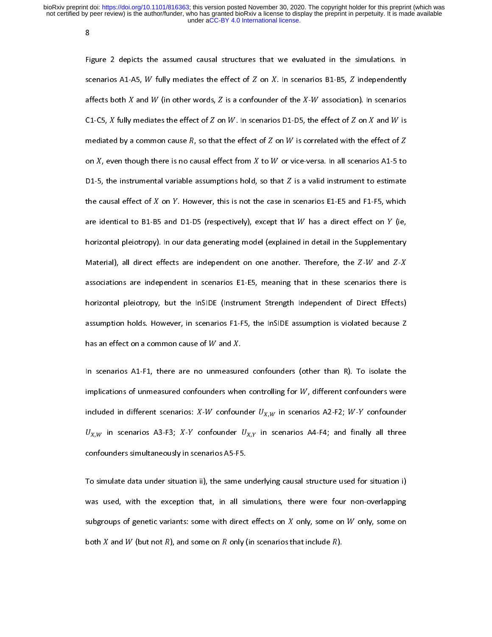8

Fi<sub>i</sub><br>sc<br>af SCENDIFFIGURE 2 DEPICE INTERNATION INTERNATION INTERNATION INTO SCENTIFY SCENTIFY. THE SCENTIFY ASSOCIATION IN<br>The association of the Simulated by a conformed causal structure of the Simulated in the simulated in the simu affects both  $X$  and  $W$  (in other words,  $Z$  is a confounder<br>C1-C5,  $X$  fully mediates the effect of  $Z$  on  $W$ . In scenario<br>mediated by a common cause  $R$ , so that the effect of  $Z$  on<br> $X$ , even though there is no causa of the *X*-*W* association). In scenarios<br>s D1-D5, the effect of *Z* on *X* and *W* is<br>on *W* is correlated with the effect of *Z*<br>or vice-versa. In all scenarios A1-5 to C1-C5, *X* fully<br>mediated by a<br>on *X*, even tho<br>D1-5, the instr mediates the effect of  $Z$  on  $W$ . In scenarios D1-D5, to<br>common cause  $R$ , so that the effect of  $Z$  on  $W$  is co<br>bugh there is no causal effect from  $X$  to  $W$  or vice-v<br>cumental variable assumptions hold, so that  $Z$  i the effect of  $Z$  on  $X$  and  $W$  is<br>prrelated with the effect of  $Z$ <br>versa. In all scenarios A1-5 to<br>valid instrument to estimate ------<br>mediated<br>on *X*, ev<br>D1-5, the<br>the caus fully measure the effect of  $Z$  on  $W$  is correlated with the e<br>en though there is no causal effect from  $X$  to  $W$  or vice-versa. In all scenario<br>e instrumental variable assumptions hold, so that  $Z$  is a valid instrumen  $\frac{1}{2}$ <br> $\frac{1}{2}$  ffect of  $Z$ <br> $\frac{1}{2}$  s A1-5 to<br> $\frac{1}{2}$  estimate on *X*, even though there is no causal effect from *X* to *W* or vice-versa. In all scenarios A1-5 to D1-5, the instrumental variable assumptions hold, so that *Z* is a valid instrument to estimate the causal effect of *X* D1-5<br>the c<br>are i<sub>'</sub><br>horiz %, the instrumental variable assumptions hold,<br>ausal effect of  $X$  on  $Y$ . However, this is not th<br>dentical to B1-B5 and D1-D5 (respectively), e<br>ontal pleiotropy). In our data generating mode so that  $Z$  is a valid instrument to estimate<br>e case in scenarios E1-E5 and F1-F5, which<br>xcept that  $W$  has a direct effect on  $Y$  (ie,<br>el (explained in detail in the Supplementary The causal effect of *X* on *Y*. However, this is not the case in scenarios E1-E5 and F1-F5, which<br>are identical to B1-B5 and D1-D5 (respectively), except that *W* has a direct effect on *Y* (ie,<br>horizontal pleiotropy). I the causal energy of<br>are identical to B1-B5<br>horizontal pleiotropy)<br>Material), all direct e<br>associations are inde on the case is not the case in section in some that we have the case in scenarios is and D1-D5 (respectively), except that W has a direct effect on Y (ie, . In our data generating model (explained in detail in the Suppleme horizontal pleiotropy). In our data generating model (explained in detail in the Supplementary<br>Material), all direct effects are independent on one another. Therefore, the *Z-W* and *Z-X*<br>associations are independent in sc Material), all direct effects are independent on one another. Therefore, the *Z-W* and *Z-X*<br>associations are independent in scenarios E1-E5, meaning that in these scenarios there is<br>horizontal pleiotropy, but the InSIDE ( Material), all antite effects are independent in scenarios E1-E5, meaning that in these scenarios there is<br>horizontal pleiotropy, but the InSIDE (Instrument Strength Independent of Direct Effects)<br>assumption holds. Howeve Anderstand pleiotropy, but the InSIDE (Instrument Strength Independent of Direct Effects)<br>assumption holds. However, in scenarios F1-F5, the InSIDE assumption is violated because Z<br>has an effect on a common cause of W and assumption holds. However, in scenarios F1-F5, the InSIDE assumption is violated because Z<br>has an effect on a common cause of W and X.<br>In scenarios A1-F1, there are no unmeasured confounders (other than R). To isolate the

has an effect on a common cause of  $W$  and  $X$ .<br>In scenarios A1-F1, there are no unmeasured confounders (other than R). To isolate the<br>implications of unmeasured confounders when controlling for  $W$ , different confounders has an entertainment cause of the analysis<br>In scenarios A1-F1, there are no unmeasure<br>implications of unmeasured confounders when<br>included in different scenarios:  $X-W$  confounder  $\frac{1}{2}$ . Implications of unmeasured confounders when controlling for W, different confounders were<br>
included in different scenarios: X-W confounder  $U_{X,W}$  in scenarios A2-F2; W-Y confounder<br>  $U_{X,W}$  in scenarios A3-F3; X-Y confou included in different scenarios: *X*-*W* confounder  $U_{X,W}$  in scenarios A2-F2; *W-Y* confounder  $U_{X,W}$  in scenarios A3-F3; *X-Y* confounders  $U_{X,Y}$  in scenarios A4-F4; and finally all three confounders simultaneously i  $U_{X,W}$  in scenarios A3-F3; *X-Y* confounders simultaneously in scenarios scenarios scenarios in the ST of the ST of the ST of the ST of the ST of the ST of the ST of the ST of the ST of the ST of the ST of the ST of the onfounder  $U_{X,Y}$  in scenarios A4-F4; and finally all three<br>narios A5-F5.<br>), the same underlying causal structure used for situation i)

A<sub>3</sub>, *W*<br>confounders simultaneously i<br>To simulate data under situat<br>was used, with the excepti A, the scenarios A5-F5.<br>ion ii), the same underlying causal structure used for situation i)<br>on that, in all simulations, there were four non-overlapping To simulate data under situation ii), the same u<br>was used, with the exception that, in all si<br>subgroups of genetic variants: some with direct<br>hath Y and W (but not B) and some an B ank ( Was used, with the exception that, in all simulations, there were four non-overlapping<br>subgroups of genetic variants: some with direct effects on X only, some on W only, some on<br>both X and W (but not R), and some on R onl subgroups of genetic variants: some with direct effects on  $X$  only, some on  $W$  only, some on<br>both  $X$  and  $W$  (but not  $R$ ), and some on  $R$  only (in scenarios that include  $R$ ). subgroups of generic variants: some with direct effects on  $\alpha$ <br>both  $X$  and  $W$  (but not  $R$ ), and some on  $R$  only (in scenarios t  $\sum_{i=1}^{n}$ , some on  $\sum_{i=1}^{n}$  on  $\sum_{i=1}^{n}$ and (but not ), and some on only (in scenarios that include ).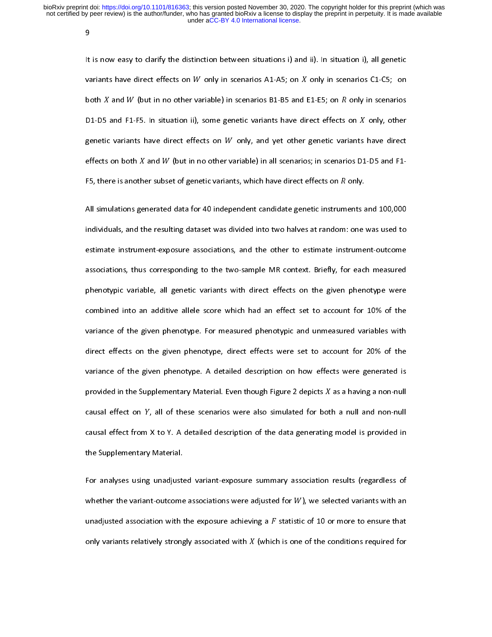9

lt<br>9<br>פר |<br>|<br>| It is now to clarify the distinction between situations, y and ii). In situation, y, an general variants have direct effects on  $W$  only in scenarios B1-B5 and E1-E5; on  $R$  only in scenarios D1-D5 and F1-F5. In situation both *X* and *W* (but in no other variable) in scenarios B1-B5 and<br>D1-D5 and F1-F5. In situation ii), some genetic variants have directivariants have direct effects on *W* only, and yet other<br>effects on both *X* and *W* ( E1-E5; on  $R$  only in scenarios<br>rect effects on  $X$  only, other<br>genetic variants have direct<br>s; in scenarios D1-D5 and F1-D1-D5<br>genetic<br>effects<br>F5, the and F1-F5. In situation ii), some genetic variants have direct effects on  $X$  only, other<br>variants have direct effects on  $W$  only, and yet other genetic variants have direct<br>on both  $X$  and  $W$  (but in no other variable) genetic variants have direct effects on  $W$  only, and yet other genetic variants effects on both  $X$  and  $W$  (but in no other variable) in all scenarios; in scenarios D1 F5, there is another subset of genetic variants, wh have direct<br> $-55$  and  $F1$ <br> $+1200000$ effects on both *X* and *W* (but in no other variable) in all scenarios; in scenarios D1-D5 and F1-<br>F5, there is another subset of genetic variants, which have direct effects on *R* only.<br>All simulations generated data for

F5, there is anoth<br>All simulations ge<br>individuals, and th er subset of genetic variants, which have direct effects on  $R$  only.<br>nerated data for 40 independent candidate genetic instruments and 100,000<br>ne resulting dataset was divided into two halves at random: one was used to F5, there is another subset of genetic variants, which have direct effects on only. Individuals, and the resulting dataset was divided into two halves at random: one was used to<br>estimate instrument-exposure associations, and the other to estimate instrument-outcome<br>associations, thus corresponding to the individuals, and the other to estimate instrument-outcome<br>associations, thus corresponding to the two-sample MR context. Briefly, for each measured<br>phenotypic variable, all genetic variants with direct effects on the given estimate intriance inperties are expanding, and the entried estimate intriance of the sassociations, thus corresponding to the two-sample MR context. Briefly, for each measured phenotypic variable, all genetic variants wit phenotypic variable, all genetic variants with direct effects on the given phenotype were<br>combined into an additive allele score which had an effect set to account for 10% of the<br>variance of the given phenotype. For measur combined into an additive allele score which had an effect set to account for 10% of the<br>variance of the given phenotype. For measured phenotypic and unmeasured variables with<br>direct effects on the given phenotype, direct Examined the an additive allele score minimum and the set to account for score in the spanning variance of the given phenotype, direct effects were set to account for 20% of the variance of the given phenotype. A detailed variance of the given phenotype. A detailed description on how effects were generated is<br>variance of the given phenotype. A detailed description on how effects were generated is<br>provided in the Supplementary Material. Even variance of the given phenotype. A detailed description on how effects were generated is<br>provided in the Supplementary Material. Even though Figure 2 depicts  $X$  as a having a non-null<br>causal effect on  $Y$ , all of these s provided in the Supplementary Material. Even though Figure 2 depicts  $X$  as a having a non-null<br>causal effect on  $Y$ , all of these scenarios were also simulated for both a null and non-null<br>causal effect from  $X$  to  $Y$ . provided in the Supplementary Material.<br>
causal effect on Y, all of these scenarios were also simulated for bot<br>
causal effect from X to Y. A detailed description of the data generating<br>
the Supplementary Material. as a having a hearted<br>h a null and non-null<br>g model is provided in causal effect from X to Y. A detailed description of the data generating model is provided in<br>the Supplementary Material.<br>For analyses using unadjusted variant-exposure summary association results (regardless of

causal effect from X to Y. A detailed description of the data generating model is provided in<br>the Supplementary Material.<br>For analyses using unadjusted variant-exposure summary association results (regardless of<br>whether th the Supplementary Material.<br>For analyses using unadjuster<br>whether the variant-outcome<br>unadjusted association with t whether the variant-outcome associations were adjusted for  $W$ ), we selected variants with an<br>unadjusted association with the exposure achieving a  $F$  statistic of 10 or more to ensure that<br>only variants relatively strong unadjusted association with the exposure achieving a  $F$  statistic of 10 or more to ensure that<br>only variants relatively strongly associated with  $X$  (which is one of the conditions required for<br>only variants relatively s only variants relatively strongly associated with  $X$  (which is one of the conditions required for  $X$ ). The ensure that is ensure that the ensure that  $X$ only variants relatively strongly associated with -(which is one of the conditions required for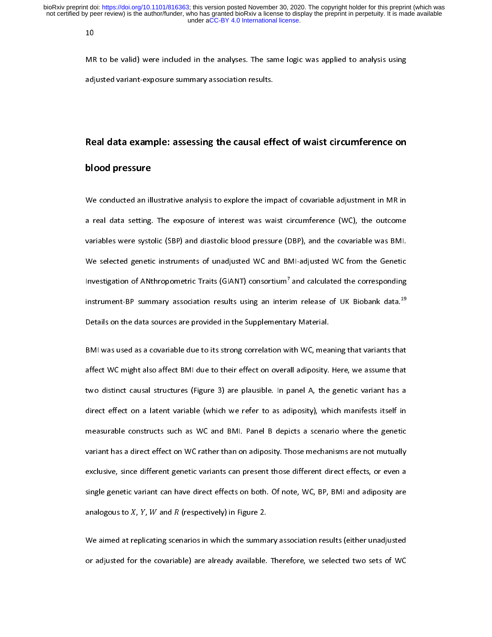10

MF<br>adj ן<br>ה MR to be valid) were included in the analyses. The same logic was applied to analysis using<br>adjusted variant-exposure summary association results.<br>Real data example: assessing the causal effect of waist circumference on

# adjusted variant-exposure summary association results.<br>Real data example: assessing the causal eff<br>blood resesure Real data example: assessing the causal effect of waist circumference on

#### blood pressure

a real data setting. The exposure of interest was waist circumference (WC), the outcome<br>variables were systolic (SBP) and diastolic blood pressure (DBP), and the covariable was BMI.<br>We selected genetic instruments of unadj variables were systolic (SBP) and diastolic blood pressure (DBP), and the covariable was BMI.<br>We selected genetic instruments of unadjusted WC and BMI-adjusted WC from the Genetic<br>Investigation of ANthropometric Traits (GI We selected genetic instruments of unadjusted WC and BMI-adjusted WC from the Genetic<br>Investigation of ANthropometric Traits (GIANT) consortium<sup>7</sup> and calculated the corresponding<br>instrument-BP summary association results Investigation of ANthropometric Traits (GIANT) consortium<sup>7</sup> and calculated the corresponding<br>instrument-BP summary association results using an interim release of UK Biobank data.<sup>19</sup><br>Details on the data sources are provi Investigation of ANthropometric Traits (GIANT) consortium<sup>2</sup> and calculated the corresponding<br>Instrument-BP summary association results using an interim release of UK Biobank data.<sup>19</sup><br>Details on the data sources are provi

instrument-BP summary association results using an interim release of UK Biobank data.<sup>29</sup><br>Details on the data sources are provided in the Supplementary Material.<br>BMI was used as a covariable due to its strong correlation BMI was used as a covariable due to its strong correlation with WC, mea<br>affect WC might also affect BMI due to their effect on overall adiposity.<br>two distinct causal structures (Figure 3) are plausible. In panel A, the affect WC might also affect BMI due to their effect on overall adiposity. Here, we assume that<br>two distinct causal structures (Figure 3) are plausible. In panel A, the genetic variant has a<br>direct effect on a latent variab two distinct causal structures (Figure 3) are plausible. In panel A, the genetic variant has a<br>direct effect on a latent variable (which we refer to as adiposity), which manifests itself in<br>measurable constructs such as WC direct effect on a latent variable (which we refer to as adiposity), which manifests itself in<br>measurable constructs such as WC and BMI. Panel B depicts a scenario where the genetic<br>variant has a direct effect on WC rather measurable constructs such as WC and BMI. Panel B depicts a scenario where the genetic<br>variant has a direct effect on WC rather than on adiposity. Those mechanisms are not mutually<br>exclusive, since different genetic varian variant has a direct effect on WC rather than on adiposity. Those mechanisms are not mutually<br>exclusive, since different genetic variants can present those different direct effects, or even a<br>single genetic variant can hav exclusive, since different genetic variants can present those different direct effects, or even a<br>single genetic variant can have direct effects on both. Of note, WC, BP, BMI and adiposity are<br>analogous to X, Y, W and R (r single genetic variant can have direct effects on both. Of note, WC, BP, BMI and adiposity are<br>analogous to X, Y, W and R (respectively) in Figure 2.<br>We aimed at replicating scenarios in which the summary association resu

analogous to *X*, *Y*, *W* and *R* (respectively) in Figure 2.<br>We aimed at replicating scenarios in which the summary association results (either unadjusted<br>or adjusted for the covariable) are already available. Therefore analog and to the<br>We aimed at re<br>or adjusted for plicating scenarios in which the summarithe covariable) are already available. or adjusted for the covariable) are already available. Therefore, we selected two sets of WC<br>
or adjusted for the covariable) are already available. Therefore, we selected two sets of WC or adjusted for the covariable) are already available. Therefore, we selected two sets of WC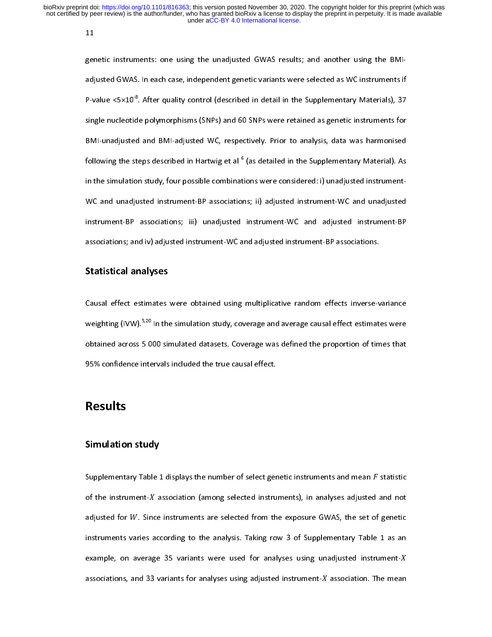11

ger<br>adj<br>P-v e<br>E<br>S genetic instruments: one using the unadjusted GWAS results; and another using the BMIadjusted GWAS. In each case, independent genetic variants were selected as WC instruments if<br>P-value <5×10<sup>-8</sup>. After quality control (described in detail in the Supplementary Materials), 37<br>single nucleotide polymorphisms P-value <5×10 $^\circ$ . After quality control (described in detail in the Supplementary Materials), 37<br>single nucleotide polymorphisms (SNPs) and 60 SNPs were retained as genetic instruments for<br>BMI-unadjusted and BMI-adjusted single nucleotide polymorphisms (SUPS) and 60 SIMP in the Cellmoral as general minimum of BMI-unadjusted and BMI-adjusted WC, respectively. Prior to analysis, data was harmonised following the steps described in Hartwig et BMI-unadjusted and BMI-adjusted WC, respectively. Prior to analysis, data was harmonised BMI-unadjusted and BMI-adjusted WC, respectively. Prior to analysis, data was harmonised<br>following the steps described in Hartwig et al <sup>6</sup> (as detailed in the Supplementary Material). As<br>in the simulation study, four poss following the steps described in Hartwig et al  $\degree$ <br>in the simulation study, four possible combinat<br>WC and unadjusted instrument-BP association<br>instrument-BP associations; iii) unadjusted<br>associations; and iv) adjusted ins (as in the Supplement<br>
(as ii) adjusted instrument-WC and unadjusted<br>
instrument-WC and adjusted instrument-BP<br>
individusted instrument-BP associations. We and analysised instrument-Producitions; iii) unadjusted instrument-WC and adjusted instrument-BP associations; and iv) adjusted instrument-WC and adjusted instrument-BP associations.<br>Statistical analyses instrument-BP associations; and iv) adjusted instrument-WC and adjusted instrument-BP associations.<br>Statistical analyses<br>Causal effect estimates were obtained using multiplicative random effects inverse-variance

## in the simulation study, four possible combinations were combinations were considered: i) unadjusted instrument-

associations; and it is an interestingular to the adjusted interest in the advertised in the Statistical analyses<br>Causal effect estimates were obtained using multiplicative random effects inverse-v<br>weighting (IVW).  $^{5,20}$ Statistical analyses<br>Causal effect estimates<br>weighting (IVW).<sup>5,20</sup> In the<br>obtained across 5 000 sin Example 2018. The simulation study, coverage and average causal effect estimates were<br>obtained across 5 000 simulated datasets. Coverage was defined the proportion of times that<br>95% confidence intervals included the true c weighting (IVW).<sup>5,22</sup> In the simulation study, coverage and average causal effect estimates were<br>obtained across 5 000 simulated datasets. Coverage was defined the proportion of times that<br>95% confidence intervals include obtained according across 5 000 simulations 5 000 simulations for the proportion of the proportion of the proportion of the proportion of the proportion of the proportion of the proportion of the proportion of the proporti

#### Results

# Results<br>95% confidence intervals in<br>1959 confidence in the true causal effect.<br>The true causal effects in the true causal effects. Simulation study

Supplementary of the instrument-X association (among selected instruments), in analyses adjusted and not adjusted for W. Since instruments are selected from the exposure GWAS, the set of genetic instruments varies accordi adjusted for *W*. Sino<br>instruments varies a<br>example, on averag<br>associations, and 33 are instruments are selected from the exposure GWAS, the set of genetic<br>according to the analysis. Taking row 3 of Supplementary Table 1 as an<br>is an note 35 variants were used for analyses using unadjusted instrument-X<br>var instruments varies according to the analysis. Taking row 3 of Supplementary Table 1 as an example, on average 35 variants were used for analyses using unadjusted instrument-X associations, and 33 variants for analyses usin example, on average 35 variants were used for analyses using unadjusted instrument-X<br>associations, and 33 variants for analyses using adjusted instrument-X association. The mean<br>associations, and 33 variants for analyses u  $\mu$  associations, and 33 variants for analyses using adjusted instrument- $X$  association. The mean<br>associations, and 33 variants for analyses using adjusted instrument- $X$  association. The mean associations, and 33 variants for analyses using adjusted instrument--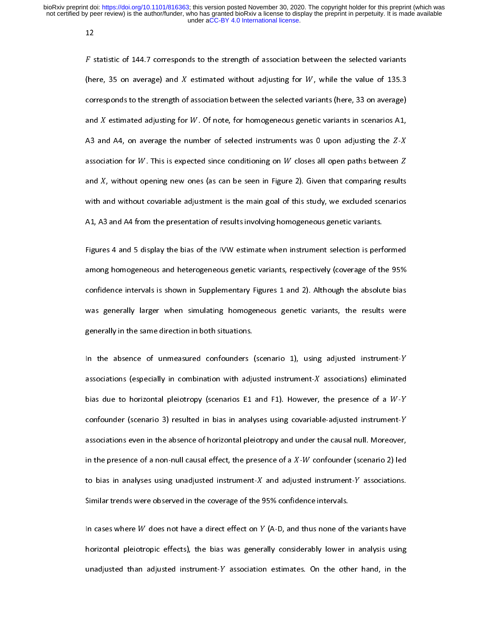12

 $F$  s<br>(he<br>cor |<br>|<br>|<br>| ג Statistic of 145.7 corresponds to the strength of association between the selected variants (here, 33 on average) and  $X$  estimated adjusting for  $W$ . Of note, for homogeneous genetic variants in scenarios A1, A3 and A4, corresponds to the strength of<br>and  $X$  estimated adjusting for<br>A3 and A4, on average the r<br>association for  $W$ . This is exp Fassociation between the selected variants (here, 33 on average)<br>
W. Of note, for homogeneous genetic variants in scenarios A1,<br>
umber of selected instruments was 0 upon adjusting the  $Z$ -X<br>
ected since conditioning on W and *X* estimated adjusting for *W*. Of note, for homogeneous genetic variants in scenarios A1,<br>A3 and A4, on average the number of selected instruments was 0 upon adjusting the *Z-X*<br>association for *W*. This is expected  $A3$  and  $A3$ <br>associ<br>and  $X$ <br>with a estimated adjusting for the terms of selected instruments was 0 upon adjusting the Z-X<br>ation for W. This is expected since conditioning on W closes all open paths between Z<br>, without opening new ones (as can be seen in Fig Association for W. This is expected since conditioning on W closes all open paths between  $Z$  and  $X$ , without opening new ones (as can be seen in Figure 2). Given that comparing results with and without covariable adjust and *X*, without opening new ones (as can be seen in Figure 2). Given that comparing results<br>with and without covariable adjustment is the main goal of this study, we excluded scenarios<br>A1, A3 and A4 from the presentation mand<br>with a<br>A1, A3<br>Figure of this study, we excluded scenarios<br>and A4 from the presentation of results involving homogeneous genetic variants.<br>S 4 and 5 display the bias of the IVW estimate when instrument selection is performed

A1, A3 and A4 from the presentation of results involving homogeneous genetic variants.<br>Figures 4 and 5 display the bias of the IVW estimate when instrument selection is performed<br>among homogeneous and heterogeneous genetic Figures 4 and 5 display the bias of the IVW estimate when instrument selection is perf<br>among homogeneous and heterogeneous genetic variants, respectively (coverage of th<br>confidence intervals is shown in Supplementary Figur Figures 4 and 5 display the bias of the UVC estimate instrument selection is performed<br>among homogeneous and heterogeneous genetic variants, respectively (coverage of the 95%<br>confidence intervals is shown in Supplementary confidence intervals is shown in Supplementary Figures 1 and 2). Although the absolute bias<br>was generally larger when simulating homogeneous genetic variants, the results were<br>generally in the same direction in both situat was generally larger when simulating homogeneous genetic variants, the results were<br>generally in the same direction in both situations.<br>In the absence of unmeasured confounders (scenario 1), using adjusted instrument-Y

generally in the same direction in both situations.<br>In the absence of unmeasured confounders (scenario 1), using adjusted instrument-Y<br>associations (especially in combination with adjusted instrument-X associations) elimin In the absence of unmeasured confounders<br>associations (especially in combination with adju<br>bias due to horizontal pleiotropy (scenarios E1 Associations (especially in combination with adjusted instrument- $X$  associations) eliminated<br>bias due to horizontal pleiotropy (scenarios E1 and F1). However, the presence of a  $W$ - $Y$ <br>confounder (scenario 3) resulted in bias due to horizontal pleiotropy (scenarios E1 and F1). However,<br>confounder (scenario 3) resulted in bias in analyses using covariab<br>associations even in the absence of horizontal pleiotropy and under t<br>in the presence of the presence of a *W-Y*<br>le-adjusted instrument-*Y*<br>he causal null. Moreover,<br>nfounder (scenario 2) led bias due to horizontal pleiotropy (scenarios La and F1). However, and presence of a ratio 1<br>confounder (scenario 3) resulted in bias in analyses using covariable-adjusted instrument-Y<br>associations even in the absence of ho associations even in the absence of horizontal pleiotropy and under the causal null. Moreover,<br>in the presence of a non-null causal effect, the presence of a  $X$ - $W$  confounder (scenario 2) led<br>to bias in analyses using u in the presence of a non-null causal effect, the presence of a *X-W* confounder (scenario 2) led<br>to bias in analyses using unadjusted instrument-*X* and adjusted instrument-*Y* associations.<br>Similar trends were observed i In the presence of a non-numeral cause of the presence of a adjusted in analyses using unadjusted instrument-X and adjusted Similar trends were observed in the coverage of the 95% confid<br>In cases where W does not have a di - confounder (scenario 2) led<br>ted instrument-Y associations.<br>ence intervals.<br>thus none of the variants have

Similar trends were observed in the coverage of the<br>In cases where  $W$  does not have a direct effect on  $Y$ <br>horizontal pleiotropic effects), the bias was gener 95% confidence intervals.<br>
<sup>2</sup> (A-D, and thus none of the variants have<br>
ally considerably lower in analysis using In cases where *W* does not have a direct effect on *Y* (A-D, and thus none of the 11 and 11 and 11 and 11 and 11 and 11 and 11 and 11 and 11 and 11 and 11 and 11 and 11 and 11 and 11 and 11 and 11 and 11 and 11 and 11 and In the havisontal pleiotropic effects), the bias was generally considerably lower in analysis using<br>
unadjusted than adjusted instrument-Y association estimates. On the other hand, in the<br>
unadjusted than adjusted instrume unadjusted than adjusted instrument-Y association estimates. On the other hand, in the unadjusted than adjusted instrument- association estimates. On the other hand, in the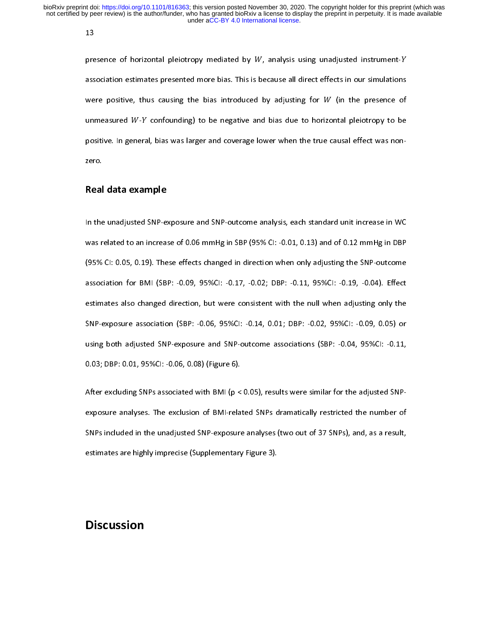13

pre<br>ass<br>we ו<br>ו<br>ג presence of intribution presented more bias. This is because all direct effects in our simulations<br>were positive, thus causing the bias introduced by adjusting for W (in the presence of<br>unmeasured W-Y confounding) to be ne were positive, thus causing the bias introduced by adjusting for  $W$  (in the presence of unmeasured  $W$ - $Y$  confounding) to be negative and bias due to horizontal pleiotropy to be positive. In general, bias was larger and where positive, the general  $W$ - $Y$  confounding) to be negative and bias due to horizontal pleiotropy to be positive. In general, bias was larger and coverage lower when the true causal effect was non-<br>zero. universured of the statements, the negative and statements in pleisting pleints of the positive. In general, bias was larger and coverage lower when the true causal effect was non-zero.<br>Real data example

## Real data example

In the unadjusted SNP-exposure and SNP-outcome analysis, each standard unit increase in WC zero.<br>**Real**<br>In the<br>was r Was related to an increase of 0.06 mmHg in SBP (95% CI: -0.01, 0.13) and of 0.12 mmHg in DBP<br>(95% CI: 0.05, 0.19). These effects changed in direction when only adjusting the SNP-outcome<br>association for BMI (SBP: -0.09, 95% (95% CI: 0.05, 0.19). These effects changed in direction when only adjusting the SNP-outcome<br>association for BMI (SBP: -0.09, 95%CI: -0.17, -0.02; DBP: -0.11, 95%CI: -0.19, -0.04). Effect<br>estimates also changed direction, (95% CI: 0.19) CI: 0.09, 95% CI: 0.17, 0.02; DBP: 0.11, 95% CI: 0.19, 0.04). Effect estimates also changed direction, but were consistent with the null when adjusting only the SNP-exposure association (SBP: -0.06, 95% CI: estimates also changed direction, but were consistent with the null when adjusting only the<br>SNP-exposure association (SBP: -0.06, 95%CI: -0.14, 0.01; DBP: -0.02, 95%CI: -0.09, 0.05) or<br>using both adjusted SNP-exposure and estimates also changed direction, but were consistent with the null when adjusting only the<br>SNP-exposure association (SBP: -0.06, 95%Cl: -0.14, 0.01; DBP: -0.02, 95%Cl: -0.09, 0.05) or<br>using both adjusted SNP-exposure and SNP-exposure and SNP-outcome associations (SBP: -0.04, 95%CI: -0.11,<br>0.03; DBP: 0.01, 95%CI: -0.06, 0.08) (Figure 6).<br>After excluding SNPs associated with BMI (p < 0.05), results were similar for the adjusted SNP-<br>surgeons

0.03; DBP: 0.01, 95%CI: -0.06, 0.08) (Figure 6).<br>After excluding SNPs associated with BMI (p < 0.05), results were similar for the adjusted SNP-<br>exposure analyses. The exclusion of BMI-related SNPs dramatically restricted or the control of the SATE:<br>After excluding SNPs associated with BMI (p <<br>exposure analyses. The exclusion of BMI-rela<br>SNPs included in the unadjusted SNP-exposure exposure analyses. (two out of 37 SNPs), and, as a result,<br>estimates are highly imprecise (Supplementary Figure 3).<br>estimates are highly imprecise (Supplementary Figure 3). SNPS included in the unit of the unit of the unit of the unit of the unit of the unit of the unit of the unit of  $\mu$  and, and, as a result, and, as a result, and, as a result, and, as a result, and, as a result, and as a

# estimates are  $n_g$ uppertecise (Supplementary Figure 3).<br>Discussion Discussion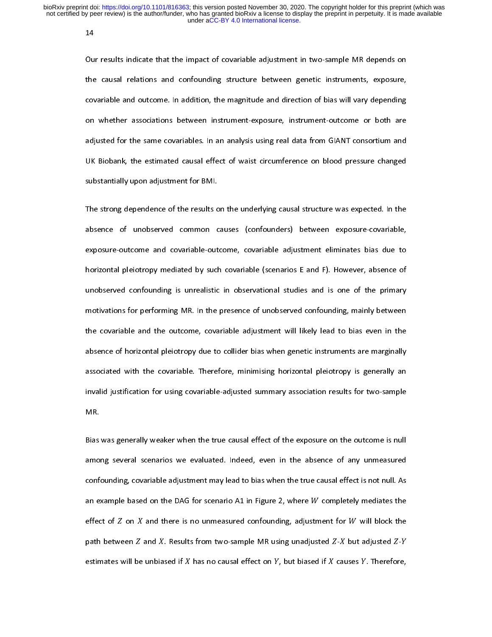14

0u<br>the<br>cov (<br>t<br>c The causal relations and confounding structure between genetic instruments, exposure,<br>covariable and outcome. In addition, the magnitude and direction of bias will vary depending<br>on whether associations between instrumentthe covariable and outcome. In addition, the magnitude and direction of bias will vary depending<br>on whether associations between instrument-exposure, instrument-outcome or both are<br>adjusted for the same covariables. In an con whether associations between instrument-exposure, instrument-outcome or both are<br>adjusted for the same covariables. In an analysis using real data from GIANT consortium and<br>UK Biobank, the estimated causal effect of wa adjusted for the same covariables. In an analysis using real data from GIANT consortium and<br>UK Biobank, the estimated causal effect of waist circumference on blood pressure changed<br>substantially upon adjustment for BMI. adjusted for the same communities in an analysis analysis had from GIANT consortium and<br>UK Biobank, the estimated causal effect of waist circumference on blood pressure changed<br>substantially upon adjustment for BMI.<br>The st

substantially upon adjustment for BMI.<br>The strong dependence of the results on the underlying causal structure was expected. In the<br>absence of unobserved common causes (confounders) between exposure-covariable, The strong dependence of the results c<br>absence of unobserved common c<br>exposure-outcome and covariable-out The strong absence of unobserved common causes (confounders) between exposure-covariable,<br>exposure-outcome and covariable-outcome, covariable adjustment eliminates bias due to<br>horizontal pleiotropy mediated by such covaria exposure-outcome and covariable-outcome, covariable adjustment eliminates bias due to<br>horizontal pleiotropy mediated by such covariable (scenarios E and F). However, absence of<br>unobserved confounding is unrealistic in obse exposure-outcome and covariable-outcome, covariable (scenarios E and F). However, absence of<br>unobserved confounding is unrealistic in observational studies and is one of the primary<br>motivations for performing MR. In the pr mondiserved confounding is unrealistic in observational studies and is one of the primary<br>motivations for performing MR. In the presence of unobserved confounding, mainly between<br>the covariable and the outcome, covariable motivations for performing MR. In the presence of unobserved confounding, mainly between<br>the covariable and the outcome, covariable adjustment will likely lead to bias even in the<br>absence of horizontal pleiotropy due to co motivations for performing main the presence of uncertainty and the covariable and the outcome, covariable adjustment will likely lead to bias even in the absence of horizontal pleiotropy due to collider bias when genetic absence of horizontal pleiotropy due to collider bias when genetic instruments are marginally<br>associated with the covariable. Therefore, minimising horizontal pleiotropy is generally an<br>invalid justification for using cova associated with the covariable. Therefore, minimising horizontal pleiotropy is generally an<br>invalid justification for using covariable-adjusted summary association results for two-sample<br>MR. invalid justification for using covariable-adjusted summary association results for two-sample<br>MR.<br>Bias was generally weaker when the true causal effect of the exposure on the outcome is null

incation for using covariable adjusted summary association results for the sumple-<br>Bias was generally weaker when the true causal effect of the exposure on the outcome is null<br>among several scenarios we evaluated. Indeed, MAR<br>Bias<br>amo<br>confr among several scenarios we evaluated. Indeed, even in the absence of any unmeasured<br>confounding, covariable adjustment may lead to bias when the true causal effect is not null. As<br>an example based on the DAG for scenario A confounding, covariable adjustment may lead to bias when the true causal effect is not null. As<br>an example based on the DAG for scenario A1 in Figure 2, where  $W$  completely mediates the<br>effect of  $Z$  on  $X$  and there is an example based on the DAG for scenario A1 in Figure 2, where W completely mediates the<br>effect of Z on X and there is no unmeasured confounding, adjustment for W will block the<br>path between Z and X. Results from two-samp effect of  $Z$  on  $X$  and there is no unmeasured confounding, adjustment for  $W$  will block the path between  $Z$  and  $X$ . Results from two-sample MR using unadjusted  $Z-X$  but adjusted  $Z-Y$  estimates will be unbiased if  $X$  $path between Z  
path between Z  
estimates will be$ and X. Results from two-sample MR using unadjusted  $Z$ -X but adjusted  $Z$ -Y unbiased if X has no causal effect on Y, but biased if X causes Y. Therefore, path between a state<br>estimates will be unbia sed if  $X$  has no causal effect on  $Y$ , but biased if  $X$  can<br>sed if  $X$  has no causal effect on  $Y$ , but biased if  $X$  can  $b$ usted -  $b$ <br>uses  $Y$ . Therefore, has no causal effect on , but biased if causes . Therefore, the causes . Therefore, the causes . Therefore, the causes . Therefore, the causes . Therefore, the causes . The causes in the causes of the causes . The causes in the causes of the causes of the causes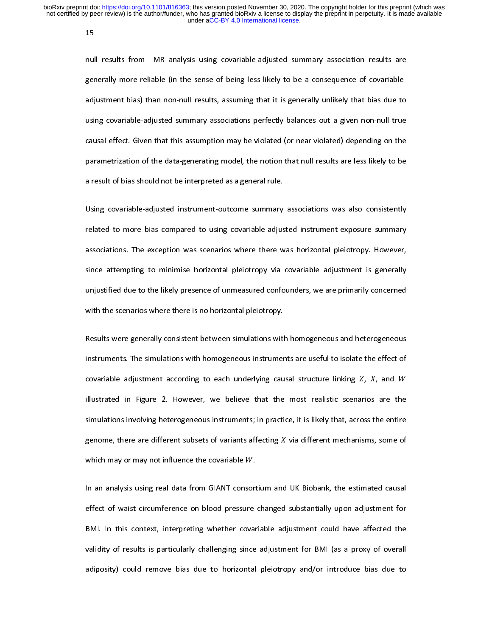15

nul<br>ger<br>adj r<br>{<br>{ nully more reliable (in the sense of being less likely to be a consequence of covariable-adjustment bias) than non-null results, assuming that it is generally unlikely that bias due to using covariable-adjusted summary ass parametrization of the data-generating model, the notion that null results are less likely to be adjusted summary associations perfectly balances out a given non-null true<br>causal effect. Given that this assumption may be violated (or near violated) depending on the<br>parametrization of the data-generating model, the not Equivalently assumption may be violated (or near violated) depending on the parametrization of the data-generating model, the notion that null results are less likely to be a result of bias should not be interpreted as a g parametrization of the data-generating model, the notion that null results are less likely to be<br>a result of bias should not be interpreted as a general rule.<br>Using covariable-adjusted instrument-outcome summary associatio

parameters are sult of bias should not be interpreted as a general rule.<br>Using covariable-adjusted instrument-outcome summary associations was also consistently<br>related to more bias compared to using covariable-adjusted in Using covariable-adjusted instrument-outcome summary<br>related to more bias compared to using covariable-adjus<br>associations. The exception was scenarios where there w related to more bias compared to using covariable-adjusted instrument-exposure summary<br>associations. The exception was scenarios where there was horizontal pleiotropy. However,<br>since attempting to minimise horizontal pleio associations. The exception was scenarios where there was horizontal pleiotropy. However,<br>since attempting to minimise horizontal pleiotropy via covariable adjustment is generally<br>unjustified due to the likely presence of since attempting to minimise horizontal pleiotropy via covariable adjustment is generally<br>unjustified due to the likely presence of unmeasured confounders, we are primarily concerned<br>with the scenarios where there is no ho since attempting to minimize attention process py and confounders, we are primarily concerned<br>uith the scenarios where there is no horizontal pleiotropy.<br>Results were generally consistent between simulations with homogeneo

with the scenarios where there is no horizontal pleiotropy.<br>Results were generally consistent between simulations with homogeneous and heterogeneous<br>instruments. The simulations with homogeneous instruments are useful to i Results were generally consistent between simulations with<br>instruments. The simulations with homogeneous instrumer<br>covariable adjustment according to each underlying cau Instruments. The simulations with homogeneous instruments are useful to isolate the effect of covariable adjustment according to each underlying causal structure linking Z, X, and W illustrated in Figure 2. However, we bel covariable adjustment according to each underlying causal structure linking  $Z$ ,  $X$ , and  $W$ <br>illustrated in Figure 2. However, we believe that the most realistic scenarios are the<br>simulations involving heterogeneous inst illustrated in Figure 2. However, we believe that the most realistic scenarios<br>simulations involving heterogeneous instruments; in practice, it is likely that, across t<br>genome, there are different subsets of variants affe are the<br>he entire<br>some of simulations involving heterogeneous instruments; in practice, it is likely that, across the entire<br>genome, there are different subsets of variants affecting X via different mechanisms, some of<br>which may or may not influenc shows in the simulations in the set of variants affecting  $X$  via different mechanisms, some of which may or may not influence the covariable  $W$ .<br>In an analysis using real data from GIANT consortium and UK Biobank, the e

which may or may not influence the covariable  $W$ .<br>In an analysis using real data from GIANT consortium and<br>effect of waist circumference on blood pressure changed VK Biobank, the estimated causal<br>substantially upon adjustment for In an analysis using real data from GIANT consort<br>effect of waist circumference on blood pressure<br>BMI. In this context, interpreting whether covar In an analysis of the state of waist circumference on blood pressure changed substantially upon adjustment for<br>
In an analysis using the estimate covariable adjustment could have affected the<br>
UNI (as a proxy of overall<br>
I EMI. In this context, interpreting whether covariable adjustment could have affected the<br>validity of results is particularly challenging since adjustment for BMI (as a proxy of overall<br>adiposity) could remove bias due to h between the context of results is particularly challenging since adjustment for BMI (as a proxy of overall adiposity) could remove bias due to horizontal pleiotropy and/or introduce bias due to the adiposity) could remove adiposity) could remove bias due to horizontal pleiotropy and/or introduce bias due to adiposity) could remove bias due to horizontal pleiotropy and  $\alpha$  introduce bias due to horizontal pleiotropy and  $\alpha$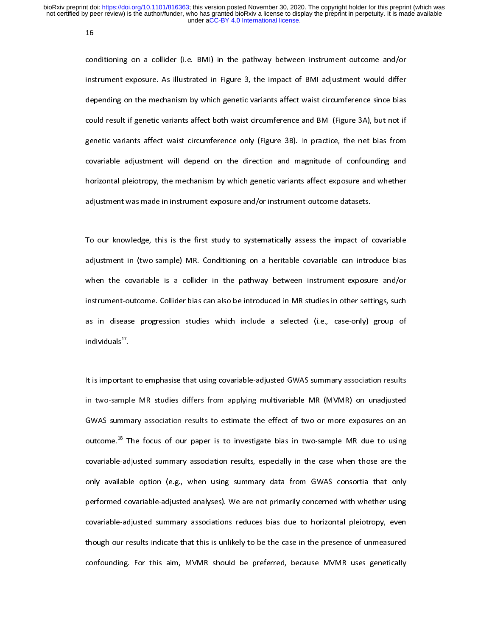16

cor<br>inst<br><sup>1681</sup> י<br>ו<br>ג conditioning on a collider (i.e. BMI) in the pathway between intrialment outcome anyon<br>instrument-exposure. As illustrated in Figure 3, the impact of BMI adjustment would differ<br>depending on the mechanism by which genetic depending on the mechanism by which genetic variants affect waist circumference since bias<br>could result if genetic variants affect both waist circumference and BMI (Figure 3A), but not if<br>genetic variants affect waist circ could result if genetic variants affect both waist circumference and BMI (Figure 3A), but not if genetic variants affect waist circumference only (Figure 3B). In practice, the net bias from covariable adjustment will depen genetic variants affect waist circumference only (Figure 3B). In practice, the net bias from<br>covariable adjustment will depend on the direction and magnitude of confounding and<br>horizontal pleiotropy, the mechanism by which general ranning affect wants in continuations and  $\mu$  (Figure 3B). In practice, the net bias from<br>covariable adjustment will depend on the direction and magnitude of confounding and<br>horizontal pleiotropy, the mechanism by covariable adjustment pleiotropy, the mechanism by which genetic variants affect exposure and whether<br>adjustment was made in instrument-exposure and/or instrument-outcome datasets.<br>To our knowledge, this is the first study

horizontal pleiotropy, the international y station generic variable interval pleiotropy and intervals<br>adjustment was made in instrument-exposure and/or instrument-outcome datasets.<br>To our knowledge, this is the first study adjustment was made in instrument-exposure and process that in instrument and a dividend of the distrument in (two-sample) MR. Conditioning on a heritable covariable can intro when the covariable is a collider in the pathw adjustment in (two-sample) MR. Conditioning on a heritable covariable can introduce bias<br>when the covariable is a collider in the pathway between instrument-exposure and/or<br>instrument-outcome. Collider bias can also be int adjustment in (the sample) MRC standaring seculidation to instrument-exposure and/or<br>when the covariable is a collider in the pathway between instrument-exposure and/or<br>instrument-outcome. Collider bias can also be introdu instrument-outcome. Collider bias can also be introduced in MR studies in other settings, such<br>as in disease progression studies which include a selected (i.e., case-only) group of<br>individuals<sup>17</sup>. as in disease progression studies which include a selected (i.e., case-only) group of<br>individuals<sup>17</sup>.<br>It is important to emphasise that using covariable-adjusted GWAS summary association results

individuals<sup>17</sup>.<br>It is important to emphasise that using covariable-adjusted GWAS summary association results<br>in two-sample MR studies differs from applying multivariable MR (MVMR) on unadjusted individuals".<br>It is importan<br>in two-sampl<br>GWAS summ It is important to emphasize that using community and the summary accountinum in two-sample-MR studies differs from applying multivariable-MR (MVMR) on unadjusted GWAS summary association results to estimate the effect of In the sample and stample matrix them applying multivariable matrix (meaning structure).<br>GWAS summary association results to estimate the effect of two or more exposures on an<br>outcome.<sup>18</sup> The focus of our paper is to inve outcome.<sup>18</sup> The focus of our paper is to investigate bias in two-sample MR due to using<br>covariable-adjusted summary association results, especially in the case when those are the<br>only available option (e.g., when using su outcome.<sup>26</sup> The focus of our paper is to investigate bias in two-sample MR due to using<br>covariable-adjusted summary association results, especially in the case when those are the<br>only available option (e.g., when using su covariable-adjusted summary successions in the case when the case when the case when<br>performed covariable-adjusted analyses). We are not primarily concerned with whether using<br>covariable-adjusted summary associations reduc performed covariable-adjusted analyses). We are not primarily concerned with whether using<br>covariable-adjusted summary associations reduces bias due to horizontal pleiotropy, even<br>though our results indicate that this is u performable-adjusted summary associations reduces bias due to horizontal pleiotropy, even<br>though our results indicate that this is unlikely to be the case in the presence of unmeasured<br>confounding. For this aim, MVMR shoul covariable adjusted summary associations reduces bias due to horizontal pleiotropy, even<br>though our results indicate that this is unlikely to be the case in the presence of unmeasured<br>confounding. For this aim, MVMR should though our results in the same of the should be preferred, because MVMR uses genetically confounding. For this aim, MVMR should be preferred, because MVMR uses genetically confounding. For this aim, MVMR should be preferred, because MVMR should be preferred, because  $M$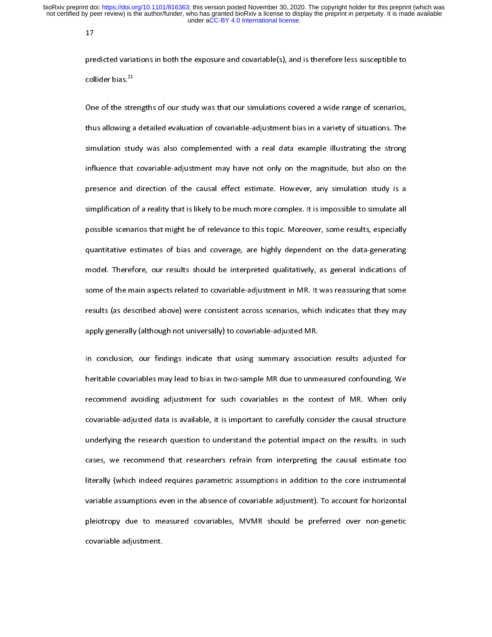17

pre<br>col<br>On r<br>C<br>t

collider bias.<sup>21</sup><br>Collider bias.<sup>21</sup><br>One of the strengths of our study was that our simulations covered a wide range of scenarios,<br>thus allowing a detailed evaluation of covariable-adjustment bias in a variety of situati collider bias."<br>One of the stre<br>thus allowing a<br>simulation stu Thus allowing a detailed evaluation of covariable-adjustment bias in a variety of situations. The<br>simulation study was also complemented with a real data example illustrating the strong<br>influence that covariable-adjustment thus allowing a detailed evaluation of covariable any assument allowing the strong<br>influence that covariable-adjustment may have not only on the magnitude, but also on the<br>presence and direction of the causal effect estima influence that covariable-adjustment may have not only on the magnitude, but also on the<br>presence and direction of the causal effect estimate. However, any simulation study is a<br>simplification of a reality that is likely t presence and direction of the causal effect estimate. However, any simulation study is a<br>simplification of a reality that is likely to be much more complex. It is impossible to simulate all<br>possible scenarios that might be simplification of a reality that is likely to be much more complex. It is impossible to simulate all<br>possible scenarios that might be of relevance to this topic. Moreover, some results, especially<br>quantitative estimates of possible scenarios that might be of relevance to this topic. Moreover, some results, especially<br>quantitative estimates of bias and coverage, are highly dependent on the data-generating<br>model. Therefore, our results should positive estimates of bias and coverage, are highly dependent on the data-generating<br>model. Therefore, our results should be interpreted qualitatively, as general indications of<br>some of the main aspects related to covariab model. Therefore, our results should be interpreted qualitatively, as general indications of<br>some of the main aspects related to covariable-adjustment in MR. It was reassuring that some<br>results (as described above) were co model. Therefore, our finding indicate that use an apply shown in MR. It was reassuring that some<br>results (as described above) were consistent across scenarios, which indicates that they may<br>apply generally (although not u some of the main aspects results (as described above) were consistent across scenarios, which indicates that they may<br>apply generally (although not universally) to covariable-adjusted MR.<br>In conclusion, our findings indica

results (as described above) were consistent across scenarios, much indicates that they may<br>apply generally (although not universally) to covariable-adjusted MR.<br>In conclusion, our findings indicate that using summary asso In conclusion, our findings indicate that using summary associate<br>heritable covariables may lead to bias in two-sample MR due to unmore<br>recommend avoiding adjustment for such covariables in the con In the itable covariables may lead to bias in two-sample MR due to unmeasured confounding. We<br>Intercommend avoiding adjustment for such covariables in the context of MR. When only<br>covariable-adjusted data is available, it mental covariable covariables may lead to bias in the context of MR. When only<br>recommend avoiding adjustment for such covariables in the context of MR. When only<br>covariable-adjusted data is available, it is important to ca recommend around<sub>2</sub> adjustment for such contendance in the content of MR. When only<br>covariable-adjusted data is available, it is important to carefully consider the causal structure<br>underlying the research question to unde underlying the research question to understand the potential impact on the results. In such<br>cases, we recommend that researchers refrain from interpreting the causal estimate too<br>literally (which indeed requires parametric cases, we recommend that researchers refrain from interpreting the causal estimate too<br>literally (which indeed requires parametric assumptions in addition to the core instrumental<br>variable assumptions even in the absence o cases) in the comment was recommend that refrain from interpreting the cause estimate took<br>literally (which indeed requires parametric assumptions in addition to the core instrumental<br>variable assumptions even in the absen variable assumptions even in the absence of covariable adjustment). To account for horizontal<br>pleiotropy due to measured covariables, MVMR should be preferred over non-genetic<br>covariable adjustment. pleiotropy due to measured covariables, MVMR should be preferred over non-genetic<br>covariable adjustment.<br>
To account for the adjustment. pleistropy due to measured covariable adjustment.<br>covariable adjustment. covariable adjustment.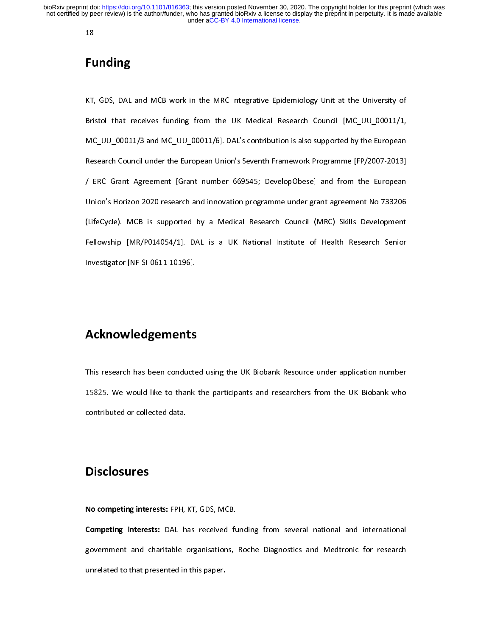18

## Funding

FL<br><sub>KT,</sub> |<br>|<br>| Extend that receives funding from the UK Medical Research Council [MC\_UU\_00011/1,<br>MC\_UU\_00011/3 and MC\_UU\_00011/6]. DAL's contribution is also supported by the European<br>Research Council under the European Union's Seventh F  $\text{MC\_UU\_00011/3}$  and MC\_UU\_00011/6]. DAL's contribution is also supported by the European<br>Research Council under the European Union's Seventh Framework Programme [FP/2007-2013]<br>FRC Grant Agreement [Grant number 669545; D MC\_UU\_0007-2014)<br>Research Council under the European Union's Seventh Framework Programme [FP/2007-2013]<br>/ ERC Grant Agreement [Grant number 669545; DevelopObese] and from the European<br>Union's Horizon 2020 research and inno Research Council under the European Union's Seventh Framework Programme [FP/2007-2013]<br>
/ ERC Grant Agreement [Grant number 669545; DevelopObese] and from the European<br>
Union's Horizon 2020 research and innovation programm Union's Horizon 2020 research and innovation programme under grant agreement No 733206<br>(LifeCycle). MCB is supported by a Medical Research Council (MRC) Skills Development<br>Fellowship [MR/P014054/1]. DAL is a UK National In (LifeCycle). MCB is supported by a Medical Research Council (MRC) Skills Development<br>Fellowship [MR/P014054/1]. DAL is a UK National Institute of Health Research Senior<br>Investigator [NF-SI-0611-10196]. Fellowship [MR/P014054/1]. DAL is a UK National Institute of Health Research Senior<br>Investigator [NF-SI-0611-10196].  $F$ ellowship [MR-SI-0611-10196].

# mer<sub>s</sub>an<sub>t</sub>er a criminally.<br>Acknowledgements

This research as a first research has been conducted using the UK Biobank who contributed or collected data. 15825. We would divide to the participants and respectively. We want the participants are understanded to the UK Bioclosures and respectively. The UK Bioclosure of the UK Bioclosure of the UK Bioclosure of the UK Bioclosur

# contributed or collected data.<br>Contributed data the collected data that the collected data.<br>Note that the collected data the collected data that the collected data the collected data the collected data. **Disclosures**

No competing interests: THT, KT, GDS, MCB.<br>Competing interests: DAL has received fugovernment and charitable organisations,<br>unrelated to that presented in this paper. Example interests: DAL has received funding from several national and international<br>government and charitable organisations, Roche Diagnostics and Medtronic for research<br>unrelated to that presented in this paper. government and charitable organisations, Roche Diagnostics and Medicine for Federal<br>unrelated to that presented in this paper. unrelated to that presented in this paper.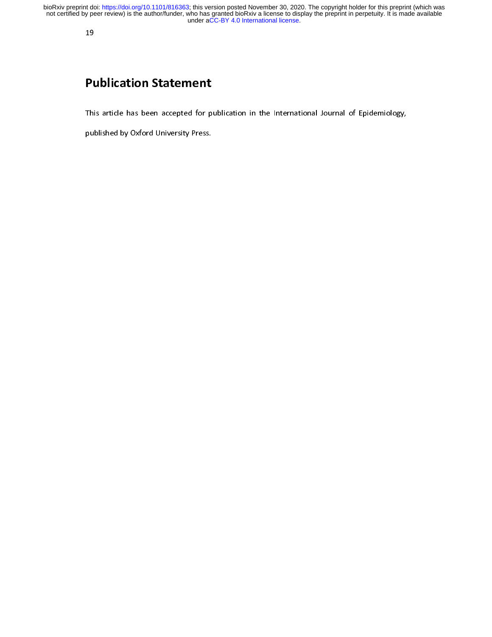# Pl<br>Thi  $\frac{1}{\sqrt{2}}$ Publication Statement

Published by Oxford University Press.<br>
This article has been accepted for published by Oxford University Press.<br>
This is expected for Eq. (1) on the International of Eq. (1) on the International Section 1, 1) on the Intern published by Oxford University Press.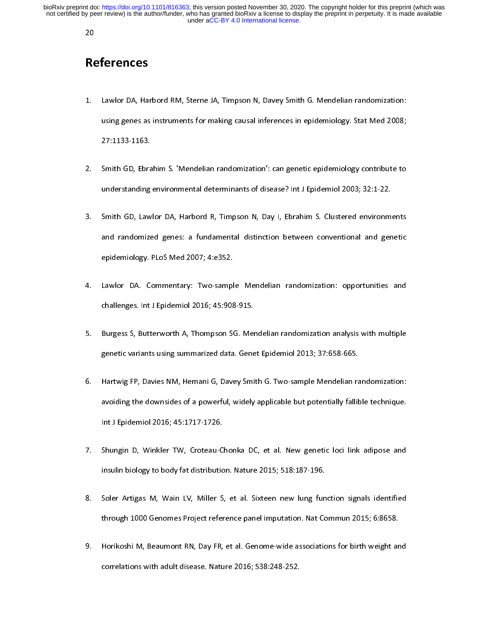## References

- **Re**<br>1.  $\frac{1}{2}$  $1$ 1. Lawrence, Theorem, Theorem, Theorem, Davey Smith Gemeenthem Matematical Lines<br>1. using genes as instruments for making causal inferences in epidemiology. Stat Med 2008;<br>27:1133-1163.<br>2. Smith GD, Ebrahim S. 'Mendelian r
- using general interests.<br>27:1133-1163.<br>Smith GD, Ebrahim S. 'Mendelian randomization': can genetic epidemiology contribute to<br>understanding environmental determinants of disease? Int J Epidemiol 2003; 32:1-22. Smith GD, Ebra<br>understanding<br>Smith GD, Law
- 2. Smith GD, Ebrahim S. 'Mendelian randomization': can genetic epidemiology contribute to<br>
understanding environmental determinants of disease? Int J Epidemiol 2003; 32:1-22.<br>
3. Smith GD, Lawlor DA, Harbord R, Timpson N, Smith GD, Lawlor DA, Harbord R, Timpson N, Day I, Ebrahim S. Clustered environmental randomized genes: a fundamental distinction between conventional and genepidemiology. PLoS Med 2007; 4:e352. 3. Smith Governmental distinction between conventional and genetic<br>3. Spidemiology. PLoS Med 2007; 4:e352.<br>4. Lawlor DA, Commentary: Two-sample Mendelian randomization: opportunities and<br>3. Spidemiology. Interface 12016:45
- and randomized gener is fundamental distinction between constraints and general<br>epidemiology. PLoS Med 2007; 4:e352.<br>Lawlor DA. Commentary: Two-sample Mendelian randomization: opportunities and<br>challenges. Int J Epidemiol epidemiology.<br>
Lawlor DA. Commentary: Two-sampl<br>
challenges. Int J Epidemiol 2016; 45:908<br>
Burgess S, Butterworth A, Thompson S
- 4. Lawrent Data Deminismary: Two-sample Mendelian randomization: opportunities and<br>challenges. Int J Epidemiol 2016; 45:908-915.<br>5. Burgess S, Butterworth A, Thompson SG. Mendelian randomization analysis with multiple<br>gene Burgess S, Butterworth A, Thompson SG. Mer<br>genetic variants using summarized data. Gene<br>Hartwig FP, Davies NM, Hemani G, Davey Smi
- Solution A, Thompson S, Burgess S, Burgess S, Burgess S, Burgess S, Burgess S, Burgess S, Burgess S, Burgess S, Burgess S, Burgess S, Burgess S, Burgess S, Burgess S, Burgess S, Burgess S, Burgess S, Burgess M, Hemani G, D genetic variants in the Hartwig FP, Davies NM, Hemani G, Davey Smith G. Two-sample Mendelian rationality fall<br>avoiding the downsides of a powerful, widely applicable but potentially fallik<br>Int J Epidemiol 2016; 45:1717-172 avoiding the downsides of a powerful, widely applicable but potentially fallible technique.<br>Int J Epidemiol 2016; 45:1717-1726.<br>7. Shungin D, Winkler TW, Croteau-Chonka DC, et al. New genetic loci link adipose and
- aroning the dominate of a powerful, mility application in potentially falling the technique.<br>Int J Epidemiol 2016; 45:1717-1726.<br>Shungin D, Winkler TW, Croteau-Chonka DC, et al. New genetic loci link adipose and<br>insulin bi Int John<br>Shungin D, Winkler TW, Croteau-C<br>Insulin biology to body fat distributic<br>Soler Artigas M, Wain LV, Miller S
- 7. Insulin biology to body fat distribution. Nature 2015; 518:187-196.<br>8. Soler Artigas M, Wain LV, Miller S, et al. Sixteen new lung function signals identified<br>through 1000 Genomes Project reference panel imputation. Nat insule of the Soler Artigas M, Wain LV, Miller S, et al. Sixteen new lung fun<br>through 1000 Genomes Project reference panel imputation. Nat Co<br>Horikoshi M, Beaumont RN, Day FR, et al. Genome-wide associatic
- 8. Soler Artigas M, Mann Ly, Miller S, et al. Simulation Mat Commun 2015; 6:8658.<br>Through 1000 Genomes Project reference panel imputation. Nat Commun 2015; 6:8658.<br>9. Horikoshi M, Beaumont RN, Day FR, et al. Genome-wide as through 2000 Central Project referrence panel imputation for Lemman 2015; 5:000 Horikoshi M, Beaumont RN, Day FR, et al. Genome-wide associations for birth weight are<br>correlations with adult disease. Nature 2016; 538:248-2 correlations with adult disease. Nature 2016; 538:248-252. correlations with adult disease. Nature 2016; 538:248-252.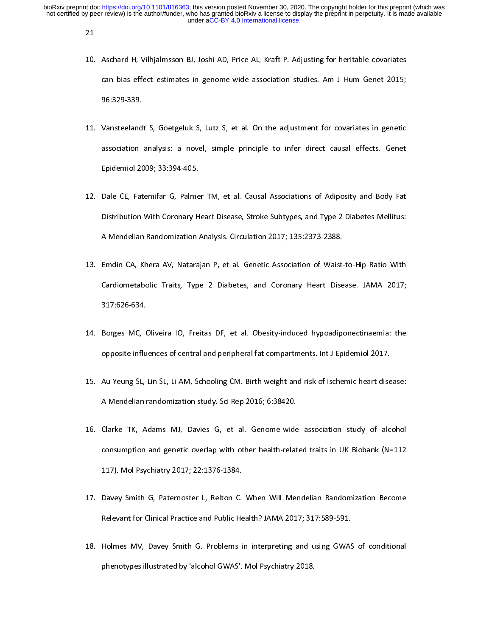21

- $10.$  $\frac{1}{2}$ 11. Manual H, Yungamies in genome-wide association studies. Am J Hum Genet 2015;<br>96:329-339.<br>11. Vansteelandt S, Goetgeluk S, Lutz S, et al. On the adjustment for covariates in genetic
- of the adjustment for covariates in genetic<br>Vansteelandt S, Goetgeluk S, Lutz S, et al. On the adjustment for covariates in genetic<br>association analysis: a novel, simple principle to infer direct causal effects. Genet 98:329<br>Vansteeland<br>association<br>Epidemiol 20 11. Vansteeland S, Goegonal S, Lutz S, Lutz S, Lutz S, Appendient for container in generic<br>12. Dale CE, Fatemifar G, Palmer TM, et al. Causal Associations of Adiposity and Body Fat<br>12. Dale CE, Fatemifar G, Palmer TM, et a
- Epidemiol 2009; 33:394-405.<br>Dale CE, Fatemifar G, Palmer TM, et al. Causal Associations of Adiposity and Body Fat<br>Distribution With Coronary Heart Disease, Stroke Subtypes, and Type 2 Diabetes Mellitus:<br>A Mandalian Randari Epidemic 2009 (CREEF 1909)<br>Dale CE, Fatemifar G, Palme<br>Distribution With Coronary H<br>A Mendelian Randomization Distribution With Coronary Heart Disease, Stroke Subtypes, and Type 2 Diabetes Mellitus:<br>A Mendelian Randomization Analysis. Circulation 2017; 135:2373-2388.<br>13. Emdin CA, Khera AV, Natarajan P, et al. Genetic Association
- A Mendelian Randomization Analysis. Circulation 2017; 135:2373-2388.<br>Emdin CA, Khera AV, Natarajan P, et al. Genetic Association of Waist-to-Hip Ratio With<br>Cardiometabolic Traits, Type 2 Diabetes, and Coronary Heart Diseas A Mendelian Randomization Analysis. Chromadelian, Justice 2017<br>Emdin CA, Khera AV, Natarajan P, et al. Genetic Association of Waist-<br>Cardiometabolic Traits, Type 2 Diabetes, and Coronary Heart Dise<br>317:626-634. Cardiometabolic Traits, Type 2 Diabetes, and Coronary Heart Disease. JAMA 2017;<br>317:626-634.<br>14. Borges MC, Oliveira IO, Freitas DF, et al. Obesity-induced hypoadiponectinaemia: the
- Cardiometabolic Traits, Type 2 Diabetes, and Coronary Heart Disease. Then 2017;<br>
Borges MC, Oliveira IO, Freitas DF, et al. Obesity-induced hypoadiponectinaemia: the<br>
opposite influences of central and peripheral fat compa Borges MC, (<br>opposite influ<br>Au Yeung SL, I
- 14. Borges MC, Oliveira II, The MC Stelle, Material, My Prempererumanial Inc.<br>15. Au Yeung SL, Lin SL, Li AM, Schooling CM. Birth weight and risk of ischemic heart disease:<br>15. Au Yeung SL, Lin SL, Li AM, Schooling CM. Bir Au Yeung SL, Lin SL, Li AM, Schooling CM. Birth weight and risk of ischemic heart dise<br>A Mendelian randomization study. Sci Rep 2016; 6:38420.<br>Clarke TK, Adams MJ, Davies G, et al. Genome-wide association study of alc
- 15. A Mendelian randomization study. Sci Rep 2016; 6:38420.<br>16. Clarke TK, Adams MJ, Davies G, et al. Genome-wide association study of alcohol<br>16. Clarke TK, Adams MJ, Davies G, et al. Genome-wide association study of alco Clarke TK, Adams MJ, Davies G, et al. Genome-wide<br>consumption and genetic overlap with other health-relat<br>117). Mol Psychiatry 2017; 22:1376-1384. 117. Consumption and genetic overlap with other health-related traits in UK Biobank (N=112<br>117). Mol Psychiatry 2017; 22:1376-1384.<br>17. Davey Smith G, Paternoster L, Relton C. When Will Mendelian Randomization Become
- consumption and generation and generation and generation and generation of the Davey Smith G, Paternoster L, Relton C. When Will Mendelian Randomization Become<br>Relevant for Clinical Practice and Public Health? JAMA 2017; 3 117).<br>117). Davey Smith G, Paternoster L, Relton C.<br>117). Relevant for Clinical Practice and Public He<br>1179. Holmes MV, Davey Smith G. Problems
- Relevant for Clinical Practice and Public Health? JAMA 2017; 317:589-591.<br>18. Holmes MV, Davey Smith G. Problems in interpreting and using GWAS of conditional<br>18. Holmes MV, Davey Smith G. Problems in interpreting and usin Holmes MV, Davey Smith G. Problems in interpreting and using GWAS<br>phenotypes illustrated by 'alcohol GWAS'. Mol Psychiatry 2018. phenotypes illustrated by 'alcohol GWAS'. Mol Psychiatry 2018. phenotypes illustrated by 'alcohol GWAS'. Mol Psychiatry 2018.<br>According to the Sychiatry 2018.<br>According to the Sychiatry 2018.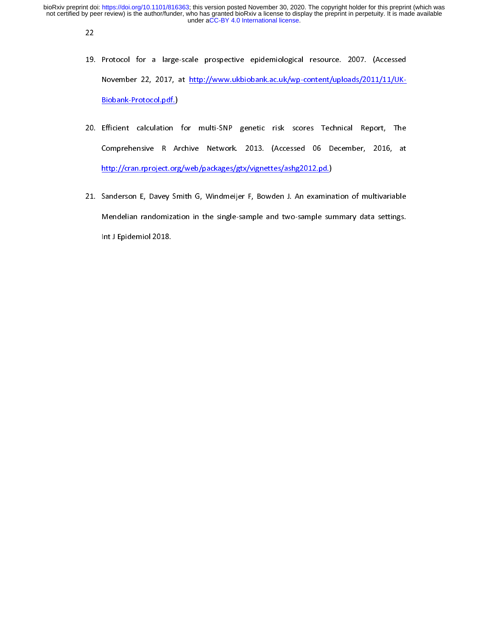22

- 19.<br>|  $\frac{1}{2}$ 19. Protocol for a large-scale prospective epidemiological resource. 2007. (Accessed<br>
November 22, 2017, at <u>http://www.ukbiobank.ac.uk/wp-content/uploads/2011/11/UK-</u><br>
<u>Biobank-Protocol.pdf.</u>)<br>
20. Efficient calculation f
- http://cran.rproject.org/web/packages/gtx/vignettes/ashg2012.pd.) Efficient calculation<br>Efficient calculation<br>Comprehensive R Arthure 20. Email of the multi-state and server communities in the Comprehensive R Archive Network. 2013. (Accessed 06 December, 2016, at<br>
http://cran.rproject.org/web/packages/gtx/vignettes/ashg2012.pd.)<br>
21. Sanderson E, Davey S
- http://cran.rproject.org/web/packages/gtx/vignettes/ashg2012.pd.)<br>Sanderson E, Davey Smith G, Windmeijer F, Bowden J. An examination of multivariable<br>Mendelian randomization in the single-sample and two-sample summary data Sanderson E, Davey Smith G, Windmeijer F, Bowden J. An examina<br>Mendelian randomization in the single-sample and two-sample sur<br>Int J Epidemiol 2018. 21. Mendelian randomization in the single-sample and two-sample summary data settings.<br>Int J Epidemiol 2018. Mendelian randomization in the single-sample and two-sample summary data settings. The single summary data set<br>of two-sample summary data settings. The single summary data settings is a set of two-sample summary data set<br>o International Contract of the Contract of the Contract of the Contract of the Contract of the Contract of the Contract of the Contract of the Contract of the Contract of the Contract of the Contract of the Contract of the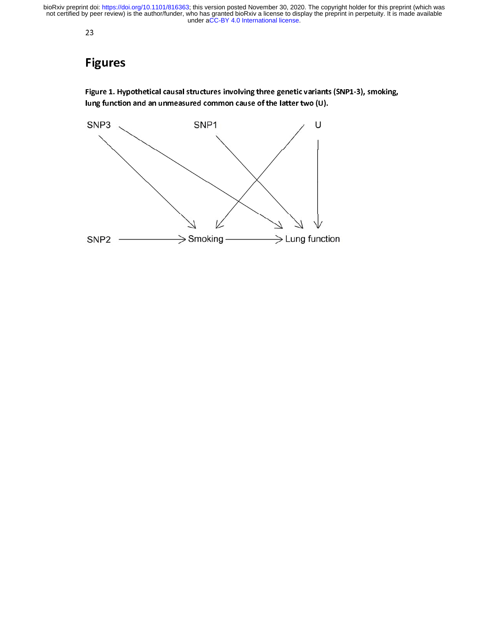23

## Figures

Fi¦<br><sup>Figi</sup><br>Iun Figure 1. Hypothetical causal structures involving three genetic variants (SNP1-3), smoking, lung function and an unmeasured common cause of the latter two (U).

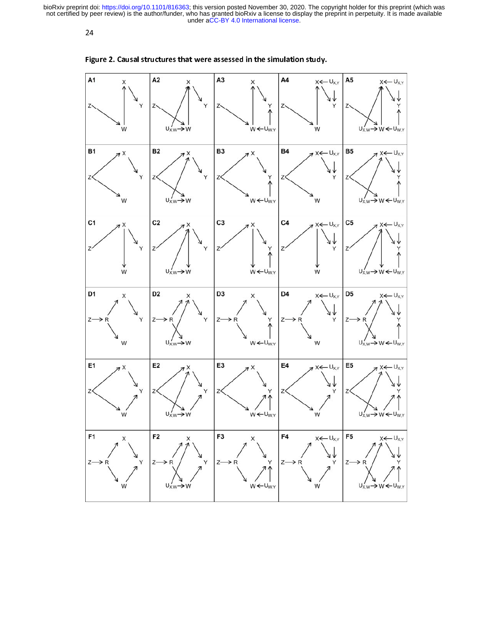24



| Figure 2. Causal structures that were assessed in the simulation study. |                                                             |                                                         |                                                |                                                                                                                     |
|-------------------------------------------------------------------------|-------------------------------------------------------------|---------------------------------------------------------|------------------------------------------------|---------------------------------------------------------------------------------------------------------------------|
| A1<br>X<br>Z.<br>Y<br>W                                                 | A <sub>2</sub><br>X<br>Z٠<br>Y<br>$U_{X,W}$ $\rightarrow$ W | A <sub>3</sub><br>Χ<br>Z<br>$W \leftarrow U_{W,Y}$      | A4<br>$X \leftarrow U_{X,Y}$<br>Υ<br>Z٠<br>W   | A <sub>5</sub><br>$X \leftarrow U_{X,Y}$<br>Z.<br>$\rightarrow$ W $\leftarrow$ U <sub>W.Y</sub><br>U <sub>X.W</sub> |
| <b>B1</b><br>$7^{\text{X}}$<br>Z<br>W                                   | <b>B2</b><br>X<br>Z<br>$U'_{X,W} \rightarrow W$             | B <sub>3</sub><br>X<br>A<br>Z<br>$W \leftarrow U_{W,Y}$ | <b>B4</b><br>$X \leftarrow U_{X,Y}$<br>Y<br>Z  | <b>B5</b><br>$7x \leftarrow U_{X,Y}$<br>Z<br>$U_{X,W} \rightarrow W \leftarrow U_{W,Y}$                             |
| C <sub>1</sub><br>$7^{\circ}$<br>Υ<br>W                                 | C <sub>2</sub><br>Z<br>Y<br>$U'_{X,W} \rightarrow$          | C <sub>3</sub><br>$W \leftarrow U_{W,Y}$                | C <sub>4</sub><br>$X \leftarrow U_{X,Y}$<br>Υ  | C <sub>5</sub><br>$X \leftarrow U_{X,Y}$<br>Z.<br>$U_{X,W} \rightarrow W \leftarrow U_{W,Y}$                        |
| D1<br>X<br>Z٠<br>Y<br>W                                                 | D <sub>2</sub><br>Χ<br>Z<br>$U'_{X,W} \rightarrow W$        | D <sub>3</sub><br>х<br>Z<br>$W \leftarrow U_{W,Y}$      | D4<br>$X \leftarrow U_{X,Y}$<br>Z٠<br>Y<br>W   | D <sub>5</sub><br>$X \leftarrow U_{X,Y}$<br>$Z-$<br>→<br>$U'_{X,W} \rightarrow W \leftarrow U_{W,Y}$                |
| E1<br>X<br>Y<br>W                                                       | E <sub>2</sub><br>X<br>Υ<br>$U_{X,W} \rightarrow W$         | E3<br>$\overline{X}$<br>Y<br>$W \leftarrow U_{W,Y}$     | E4<br>$X \leftarrow U_{X,Y}$<br>Y<br>W         | E5<br>$X \leftarrow U_{X,Y}$<br>Y<br>$U'_{X,W} \rightarrow W \leftarrow U_{W,Y}$                                    |
| F1<br>X<br>Z-<br>→ R<br>W                                               | F <sub>2</sub><br>х<br>Z-<br>Υ<br>$U'_{X,W} \rightarrow W$  | F3<br>X<br>$z-$<br>→R<br>$W \leftarrow U_{W,Y}$         | F4<br>$X \leftarrow U_{X,Y}$<br>Υ<br>$z-$<br>W | F <sub>5</sub><br>$X \leftarrow U_{X,Y}$<br>$z-$<br>$\rightarrow$ R<br>$U'_{X,W} \rightarrow W \leftarrow U_{W,Y}$  |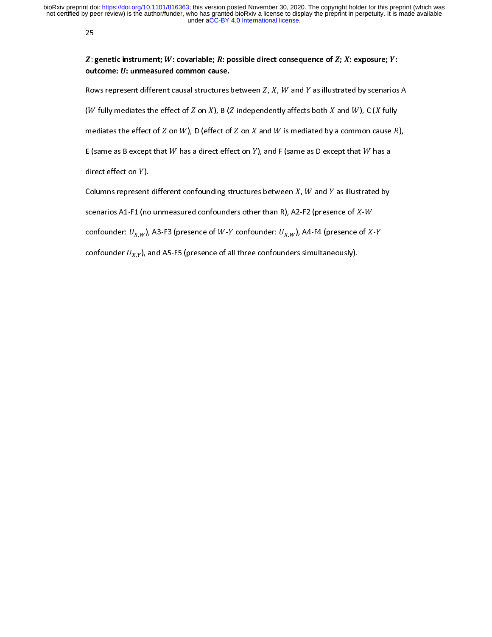25

 $Z:$  (OUT)<br>RON<br>(W ;<br>;<br>;  $Z$ : genetic instrument;  $W$ : covariable;  $\Lambda$ <br>outcome:  $U$ : unmeasured common caus<br>Rows represent different causal structur<br>( $W$  fully mediates the effect of  $Z$  on  $X$ ), I<br>mediates the effect of  $Z$  on  $W$ ), D (effect Z: genetic instrument; W: covariable; R: possible direct consequence of Z; X: exposure; Y: outcome:  $U$ : unmeasured common cause.

(*W* fully mediates the effect of *Z* on *X*), B (*Z* independen<br>mediates the effect of *Z* on *W*), D (effect of *Z* on *X* and *V*<br>E (same as B except that *W* has a direct effect on *Y*), and<br>direct effect on *Y*).

tly affects both  $X$  and  $W$ ), C ( $X$  fully<br> $W$  is mediated by a common cause  $R$ ),<br>F (same as D except that  $W$  has a ( $\blacksquare$ )<br>mediates the effect of  $Z$  on  $W$ ), D (eff $\blacksquare$ <br>E (same as B except that  $W$  has a direc<br>direct effect on  $Y$ ).<br>Columns represent different confound ),<br>ect of  $Z$  on  $X$  and  $W$  is mediated by<br>tt effect on  $Y$ ), and  $F$  (same as  $D$  exconsing structures between  $X$ ,  $W$  and  $Y$ a common ca<br>
ept that  $W$  ha<br>
as illustrated Figure  $R$ <br>s a<br>by

E (same as B except that  $W$  has a direct effect on  $Y$ <br>direct effect on  $Y$ ).<br>Columns represent different confounding structure<br>scenarios A1-F1 (no unmeasured confounders othe and  $\overline{R}$  is meaning a parameter entity,<br>
), and F (same as D except that  $W$  has a<br>
s between  $X$ ,  $W$  and  $Y$  as illustrated by<br>
r than R), A2-F2 (presence of  $X$ - $W$ 

E (same as B except that  $h$  has a direct effect on  $Y$ ).<br>
Columns represent different confounding structures between  $X$ ,  $W$  and  $Y$  as illustrated by<br>
scenarios A1-F1 (no unmeasured confounders other than R), A2-F2 (pr Columns represent<br>scenarios A1-F1 (no<br>confounder:  $U_{X,W}$ ),<br>confounder  $U_{X,Y}$ ), a

scenarios A1-F1 (no unmeasured confounders other than R), A2-<br>confounder:  $U_{X,W}$ ), A3-F3 (presence of W-Y confounder:  $U_{X,W}$ ),<br>confounder  $U_{X,Y}$ ), and A5-F5 (presence of all three confounders

-F2 (presence of  $X-W$ <br>A4-F4 (presence of  $X-Y$ <br>simultaneously). confounder:  $U_{X,W}$ ), A3-F3 (presence of  $W$ -Y confounder:  $U_{X,W}$ ), A4-F4 (presence confounder  $U_{X,Y}$ ), and A5-F5 (presence of all three confounders simultaneously).  $\int X$ 

confounder  $U_{X,Y}$ ), and A5-F5 (presence of all three confounders simultaneously). confounder ,  $\lambda_{A,B}$  and A5-F5 (presence of all three confounders simultaneously).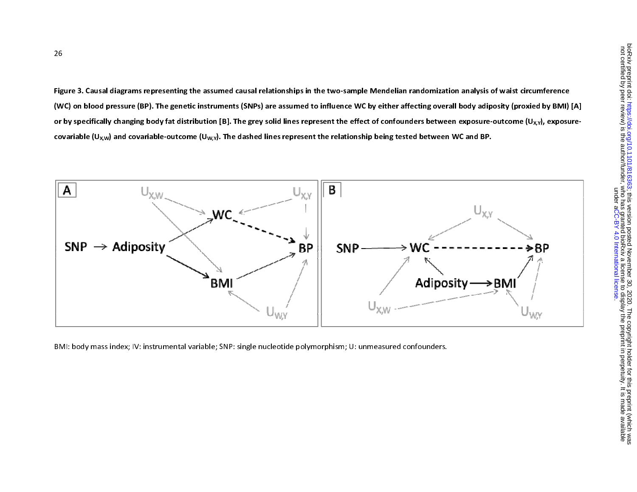Figure 3. Causal diagrams representing the assumed causal relationships in the two-sample Mendelian randomization analysis of waist circum mference (WC) on blood pressure (BP). The genetic instruments (SNPs) are assumed to influence WC by either affecting overall body adiposity (proxied by BMI) [A] or by specifically changing body fat distribution [B]. The grey solid lines represent the effect of confounders between exposure-outcome (U<sub>X,Y</sub>), exposurecovariable (U<sub>X,W</sub>) and covariable-outcome (U<sub>W,Y</sub>). The dashed lines represent the relationship being tested between WC and BP.



BMI: body mass index; IV: instrumental variable; SNP: single nucleotide polymorphism; U: unmeasured confounders.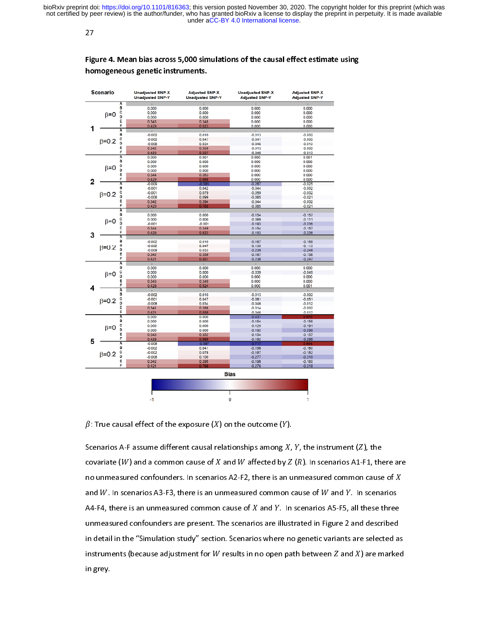27

Figure 4. Mean bias across 5,000 simulations of the causal effect estimate using homogeneous genetic instruments.



 $\beta$ : True causal effect of the exposure  $(X)$  on the outcome  $(Y)$ .

Scenarios A-F assume different causal relationships among  $X$ ,  $Y$ , the instrument ( $Z$ ), the covariate (W) and a common cause of X and W affected by  $Z(R)$ . In scenarios A1-F1, there are no unmeasured confounders. In scenarios A2-F2, there is an unmeasured common cause of  $X$ and  $W$ . In scenarios A3-F3, there is an unmeasured common cause of  $W$  and  $Y$ . In scenarios A4-F4, there is an unmeasured common cause of  $X$  and  $Y$ . In scenarios A5-F5, all these three unmeasured confounders are present. The scenarios are illustrated in Figure 2 and described in detail in the "Simulation study" section. Scenarios where no genetic variants are selected as instruments (because adjustment for W results in no open path between  $Z$  and  $X$ ) are marked in grey.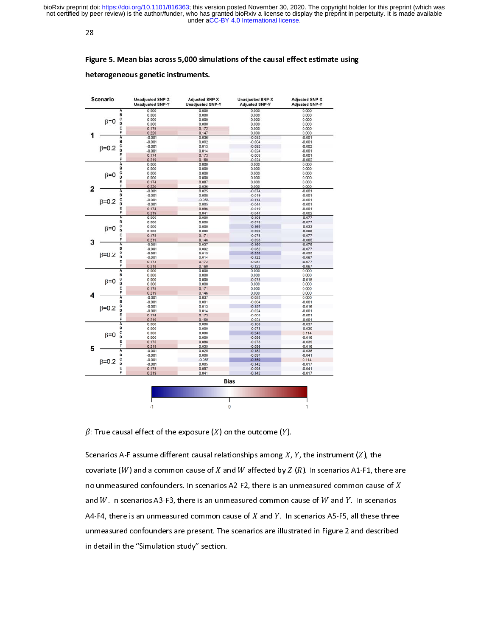28

#### Figure 5. Mean bias across 5,000 simulations of the causal effect estimate using

#### heterogeneous genetic instruments.

|   | Scenario                              |                | <b>Unadjusted SNP-X</b><br><b>Unadjusted SNP-Y</b> | <b>Adjusted SNP-X</b><br><b>Unadjusted SNP-Y</b> | <b>Unadjusted SNP-X</b><br><b>Adjusted SNP-Y</b> | <b>Adjusted SNP-X</b><br><b>Adjusted SNP-Y</b> |
|---|---------------------------------------|----------------|----------------------------------------------------|--------------------------------------------------|--------------------------------------------------|------------------------------------------------|
|   |                                       | Α              | 0.000                                              | 0.000                                            | 0.000                                            | 0.000                                          |
|   |                                       | B              | 0.000                                              | 0.000                                            | 0.000                                            | 0.000                                          |
|   | $\beta = 0$                           | õ              | 0.000                                              | 0.000                                            | 0.000                                            | 0.000                                          |
|   |                                       |                | 0.000                                              | 0.000                                            | 0.000                                            | 0.000                                          |
|   |                                       | E<br>F         | 0.175                                              | 0.172                                            | 0.000                                            | 0.000                                          |
|   |                                       |                | 0.220                                              | 0.147                                            | 0.000                                            | 0.000                                          |
|   |                                       | Ā<br>8         | $-0.001$                                           | 0.036                                            | $-0.052$                                         | $-0.001$                                       |
|   |                                       |                | $-0.001$                                           | 0.002                                            | $-0.004$<br>$-0.082$                             | $-0.001$                                       |
|   | $\beta = 0.2$                         | c<br>D         | $-0.001$                                           | 0.013                                            |                                                  | $-0.002$                                       |
|   |                                       | E              | $-0.001$                                           | 0.014                                            | $-0.024$<br>$-0.003$                             | $-0.001$<br>$-0.001$                           |
|   |                                       | F              | 0.174<br>0.219                                     | 0.173<br>0.160                                   | $-0.024$                                         | $-0.002$                                       |
|   |                                       | Ā              | 0.000                                              | 0.000                                            | 0.000                                            | 0.000                                          |
|   |                                       | B              | 0.000                                              | 0.000                                            | 0.000                                            | 0.000                                          |
|   | c<br>D<br>$\beta = 0$                 |                | 0.000                                              | 0.000                                            | 0.000                                            | 0.000                                          |
|   |                                       | 0.000          | 0.000                                              | 0.000                                            | 0.000                                            |                                                |
|   |                                       | E              | 0.174                                              | 0.087                                            | 0.000                                            | 0.000                                          |
| 2 | F                                     |                | 0.220                                              | 0.036                                            | 0.000                                            | 0.000                                          |
|   |                                       | A              | $-0.001$                                           | 0.025                                            | $-0.074$                                         | $-0.001$                                       |
|   |                                       | B              | $-0.001$                                           | 0.008                                            | $-0.019$                                         | $-0.001$                                       |
|   |                                       |                | $-0.001$                                           | $-0.056$                                         | $-0.114$                                         | $-0.001$                                       |
|   | $\beta = 0.2$                         | co             | $-0.001$                                           | 0.005                                            | $-0.044$                                         | $-0.001$                                       |
|   |                                       | E              | 0.174                                              | 0.096                                            | $-0.019$                                         | $-0.001$                                       |
|   |                                       | F              | 0.219                                              | 0.041                                            | $-0.044$                                         | $-0.002$                                       |
|   |                                       | Ā              | 0.000                                              | 0.000                                            | $-0.108$                                         | $-0.077$                                       |
|   |                                       |                | 0.000                                              | 0.000                                            | $-0.078$                                         | $-0.077$                                       |
|   |                                       |                | 0.000                                              | 0.000                                            | $-0.169$                                         | $-0.033$                                       |
|   | $\beta = 0$                           | <b>B</b> C D   | 0.000                                              | 0.000                                            | $-0.099$                                         | $-0.066$                                       |
|   | Ε                                     | 0.175          | 0.171                                              | $-0.078$                                         | $-0.077$                                         |                                                |
| 3 |                                       | F              | 0.219                                              | 0.146                                            | $-0.098$                                         | $-0.065$                                       |
|   |                                       |                | $-0.001$                                           | 0.037                                            | $-0.160$                                         | $-0.078$                                       |
|   | A<br>B<br>c<br>D<br>$B=0.2$<br>E<br>F | $-0.001$       | 0.002                                              | $-0.082$                                         | $-0.077$                                         |                                                |
|   |                                       | $-0.001$       | 0.013                                              | $-0.250$                                         | $-0.035$                                         |                                                |
|   |                                       | $-0.001$       | 0.014                                              | $-0.122$                                         | $-0.067$                                         |                                                |
|   |                                       |                | 0.173                                              | 0.172                                            | $-0.081$                                         | $-0.077$                                       |
|   |                                       |                | 0.218                                              | 0.160                                            | $-0.122$                                         | $-0.067$                                       |
|   |                                       | A<br>B         | 0.000                                              | 0.000                                            | 0.000                                            | 0.000                                          |
|   |                                       |                | 0.000                                              | 0.000                                            | 0.000                                            | 0.000                                          |
|   | C<br>D<br>$\beta = 0$                 | 0.000          | 0.000                                              | $-0.075$                                         | $-0.015$                                         |                                                |
|   |                                       | 0.000          | 0.000                                              | 0.000                                            | 0.000                                            |                                                |
|   |                                       | E<br>F         | 0.175                                              | 0.171                                            | 0.000                                            | 0.000                                          |
| 4 |                                       |                | 0.219                                              | 0.146                                            | 0.000                                            | 0.000                                          |
|   |                                       | Ā              | $-0.001$                                           | 0.037                                            | $-0.052$                                         | 0.000                                          |
|   | B                                     |                | $-0.001$                                           | 0.001                                            | $-0.004$                                         | $-0.001$                                       |
|   | $\beta = 0.2$                         | c<br>D         | $-0.001$                                           | 0.013                                            | $-0.157$                                         | $-0.016$                                       |
|   |                                       |                | $-0.001$                                           | 0.014                                            | $-0.024$                                         | $-0.001$                                       |
|   |                                       | E              | 0.174                                              | 0.173                                            | $-0.003$                                         | $-0.001$                                       |
|   |                                       | p              | 0.219                                              | 0.160                                            | $-0.024$                                         | $-0.001$                                       |
|   |                                       | Ā              | 0.000                                              | 0.000                                            | $-0.108$                                         | $-0.037$                                       |
|   |                                       | B              | 0.000                                              | 0.000                                            | $-0.078$                                         | $-0.039$                                       |
|   | c<br>D<br>$\beta = 0$                 | 0.000          | 0.000                                              | $-0.243$                                         | 0.114                                            |                                                |
|   |                                       | 0.000          | 0.000                                              | $-0.098$                                         | $-0.016$                                         |                                                |
|   |                                       | E              | 0.175                                              | 0.088                                            | $-0.078$                                         | $-0.039$                                       |
| 5 |                                       | F              | 0.219                                              | 0.035                                            | $-0.098$                                         | $-0.016$                                       |
|   | Ā                                     | $-0.001$       | 0.025                                              | $-0.182$                                         | $-0.038$                                         |                                                |
|   |                                       | $\overline{B}$ | $-0.001$                                           | 0.008                                            | $-0.097$                                         | $-0.041$                                       |
|   | $\beta = 0.2$                         | c              | $-0.001$                                           | $-0.057$                                         | $-0.359$                                         | 0.114                                          |
|   | D<br>E                                | $-0.001$       | 0.005                                              | $-0.142$                                         | $-0.017$                                         |                                                |
|   |                                       |                | 0.175                                              | 0.097                                            | $-0.098$                                         | $-0.041$                                       |
|   |                                       | F              | 0.219                                              | 0.041                                            | $-0.142$                                         | $-0.017$                                       |
|   |                                       |                | <b>Bias</b>                                        |                                                  |                                                  |                                                |
|   |                                       |                |                                                    |                                                  |                                                  |                                                |
|   |                                       |                | -1                                                 |                                                  | 0                                                | 1                                              |

 $\beta$ : True causal effect of the exposure  $(X)$  on the outcome  $(Y)$ .

Scenarios A-F assume different causal relationships among  $X$ ,  $Y$ , the instrument ( $Z$ ), the covariate (W) and a common cause of X and W affected by  $Z(R)$ . In scenarios A1-F1, there are no unmeasured confounders. In scenarios A2-F2, there is an unmeasured common cause of  $X$ and  $W$ . In scenarios A3-F3, there is an unmeasured common cause of  $W$  and  $Y$ . In scenarios A4-F4, there is an unmeasured common cause of  $X$  and  $Y$ . In scenarios A5-F5, all these three unmeasured confounders are present. The scenarios are illustrated in Figure 2 and described in detail in the "Simulation study" section.